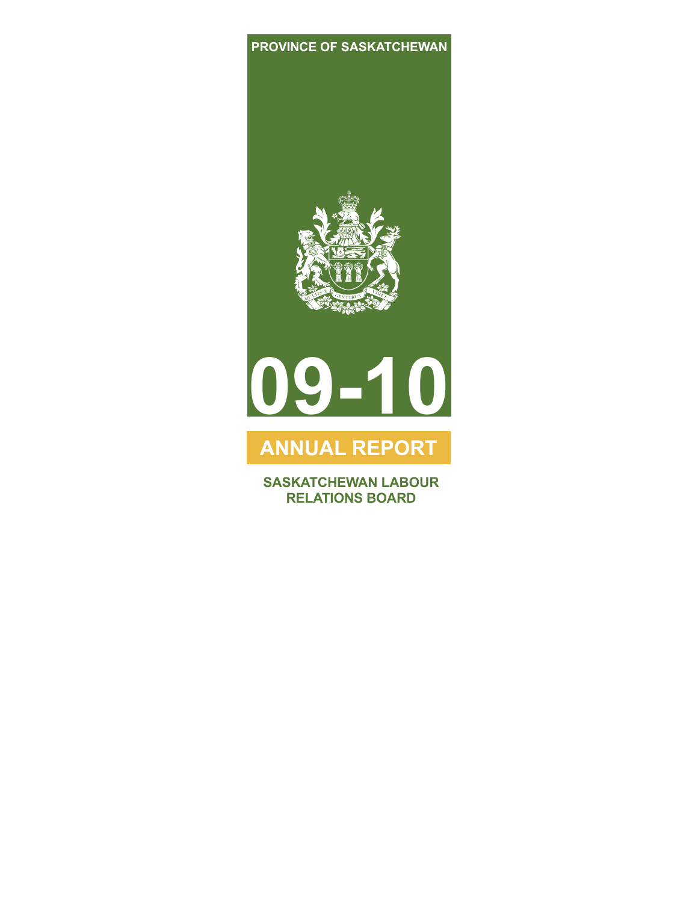### **PROVINCE OF SASKATCHEWAN**





# **ANNUAL REPORT**

**SASKATCHEWAN LABOUR RELATIONS BOARD**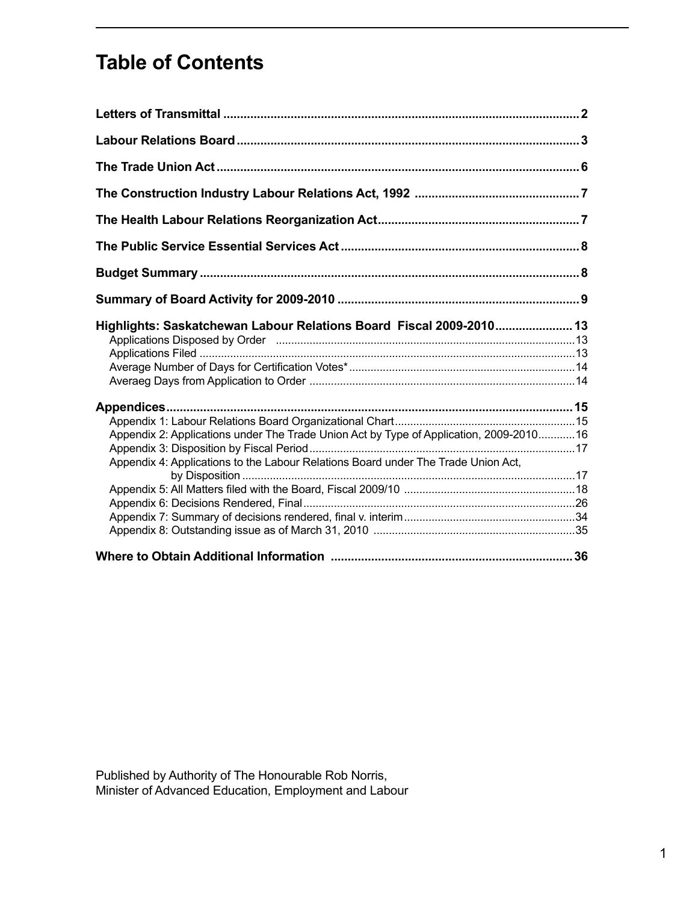# **Table of Contents**

| Highlights: Saskatchewan Labour Relations Board Fiscal 2009-2010 13<br>Applications Disposed by Order manufactured and the manufactured and 13                               |  |
|------------------------------------------------------------------------------------------------------------------------------------------------------------------------------|--|
| Appendix 2: Applications under The Trade Union Act by Type of Application, 2009-2010 16<br>Appendix 4: Applications to the Labour Relations Board under The Trade Union Act, |  |
|                                                                                                                                                                              |  |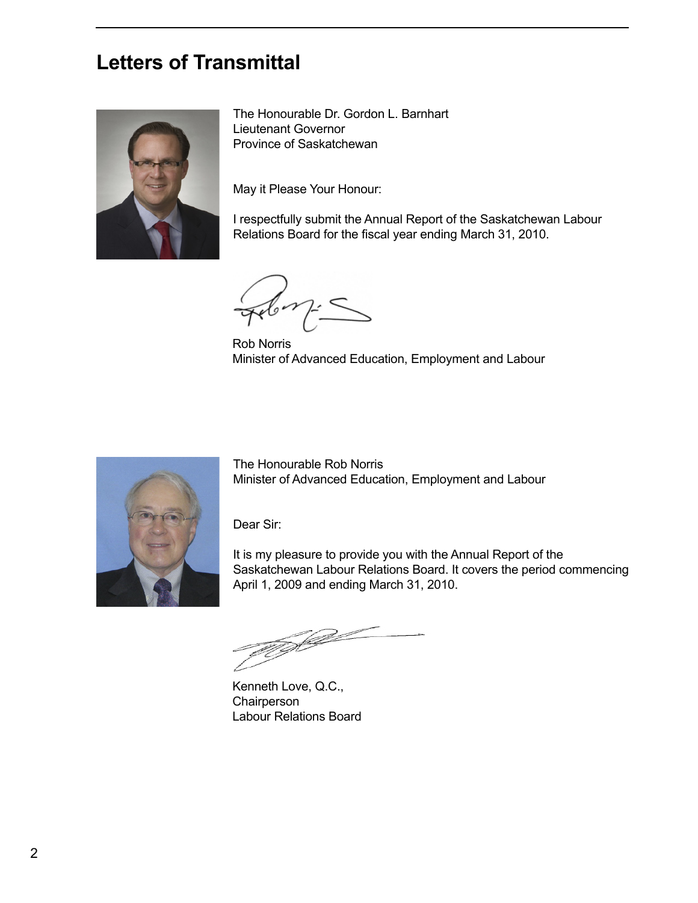## <span id="page-3-0"></span>**Letters of Transmittal**



The Honourable Dr. Gordon L. Barnhart Lieutenant Governor Province of Saskatchewan

May it Please Your Honour:

I respectfully submit the Annual Report of the Saskatchewan Labour Relations Board for the fiscal year ending March 31, 2010.

Rob Norris Minister of Advanced Education, Employment and Labour



The Honourable Rob Norris Minister of Advanced Education, Employment and Labour

Dear Sir:

It is my pleasure to provide you with the Annual Report of the Saskatchewan Labour Relations Board. It covers the period commencing April 1, 2009 and ending March 31, 2010.

U J

Kenneth Love, Q.C., **Chairperson** Labour Relations Board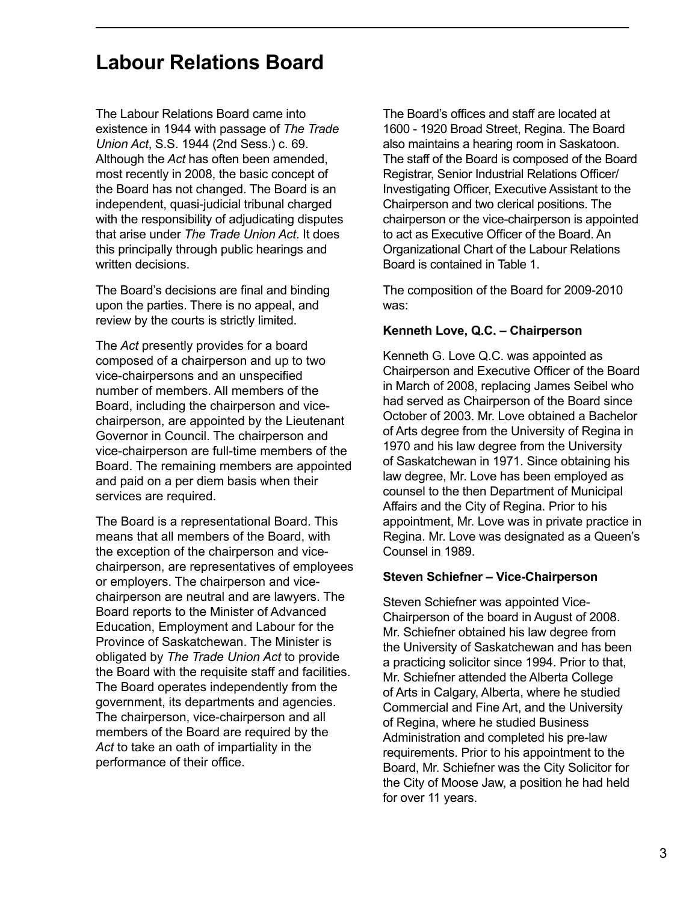# <span id="page-4-0"></span>**Labour Relations Board**

The Labour Relations Board came into existence in 1944 with passage of *The Trade Union Act*, S.S. 1944 (2nd Sess.) c. 69. Although the *Act* has often been amended, most recently in 2008, the basic concept of the Board has not changed. The Board is an independent, quasi-judicial tribunal charged with the responsibility of adjudicating disputes that arise under *The Trade Union Act*. It does this principally through public hearings and written decisions.

The Board's decisions are final and binding upon the parties. There is no appeal, and review by the courts is strictly limited.

The *Act* presently provides for a board composed of a chairperson and up to two vice-chairpersons and an unspecified number of members. All members of the Board, including the chairperson and vicechairperson, are appointed by the Lieutenant Governor in Council. The chairperson and vice-chairperson are full-time members of the Board. The remaining members are appointed and paid on a per diem basis when their services are required.

The Board is a representational Board. This means that all members of the Board, with the exception of the chairperson and vicechairperson, are representatives of employees or employers. The chairperson and vicechairperson are neutral and are lawyers. The Board reports to the Minister of Advanced Education, Employment and Labour for the Province of Saskatchewan. The Minister is obligated by *The Trade Union Act* to provide the Board with the requisite staff and facilities. The Board operates independently from the government, its departments and agencies. The chairperson, vice-chairperson and all members of the Board are required by the *Act* to take an oath of impartiality in the performance of their office.

The Board's offices and staff are located at 1600 - 1920 Broad Street, Regina. The Board also maintains a hearing room in Saskatoon. The staff of the Board is composed of the Board Registrar, Senior Industrial Relations Officer/ Investigating Officer, Executive Assistant to the Chairperson and two clerical positions. The chairperson or the vice-chairperson is appointed to act as Executive Officer of the Board. An Organizational Chart of the Labour Relations Board is contained in Table 1.

The composition of the Board for 2009-2010 was:

#### **Kenneth Love, Q.C. – Chairperson**

Kenneth G. Love Q.C. was appointed as Chairperson and Executive Officer of the Board in March of 2008, replacing James Seibel who had served as Chairperson of the Board since October of 2003. Mr. Love obtained a Bachelor of Arts degree from the University of Regina in 1970 and his law degree from the University of Saskatchewan in 1971. Since obtaining his law degree, Mr. Love has been employed as counsel to the then Department of Municipal Affairs and the City of Regina. Prior to his appointment, Mr. Love was in private practice in Regina. Mr. Love was designated as a Queen's Counsel in 1989.

#### **Steven Schiefner – Vice-Chairperson**

Steven Schiefner was appointed Vice-Chairperson of the board in August of 2008. Mr. Schiefner obtained his law degree from the University of Saskatchewan and has been a practicing solicitor since 1994. Prior to that, Mr. Schiefner attended the Alberta College of Arts in Calgary, Alberta, where he studied Commercial and Fine Art, and the University of Regina, where he studied Business Administration and completed his pre-law requirements. Prior to his appointment to the Board, Mr. Schiefner was the City Solicitor for the City of Moose Jaw, a position he had held for over 11 years.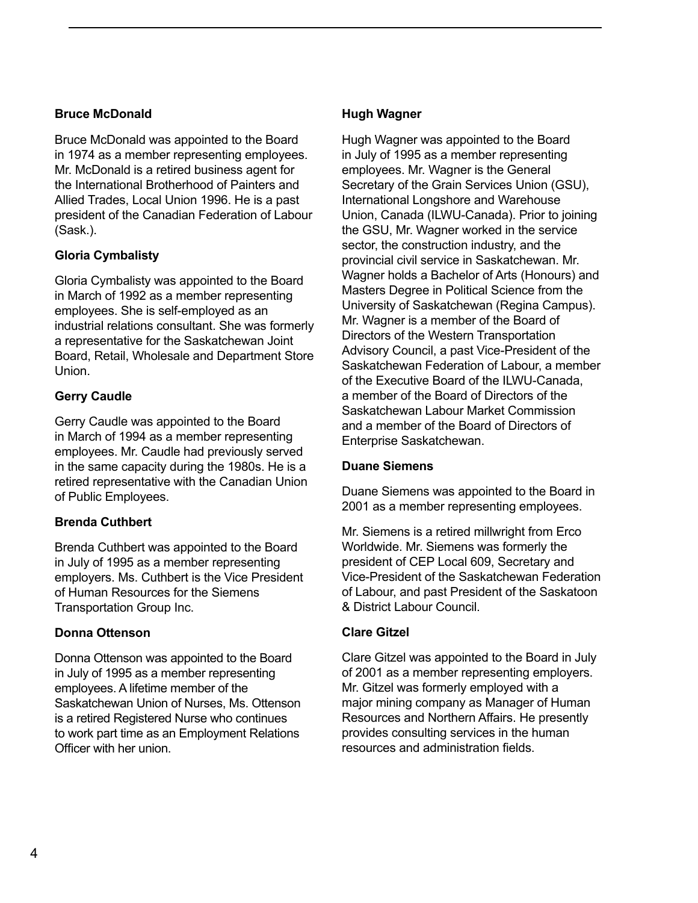#### **Bruce McDonald**

Bruce McDonald was appointed to the Board in 1974 as a member representing employees. Mr. McDonald is a retired business agent for the International Brotherhood of Painters and Allied Trades, Local Union 1996. He is a past president of the Canadian Federation of Labour (Sask.).

### **Gloria Cymbalisty**

Gloria Cymbalisty was appointed to the Board in March of 1992 as a member representing employees. She is self-employed as an industrial relations consultant. She was formerly a representative for the Saskatchewan Joint Board, Retail, Wholesale and Department Store Union.

### **Gerry Caudle**

Gerry Caudle was appointed to the Board in March of 1994 as a member representing employees. Mr. Caudle had previously served in the same capacity during the 1980s. He is a retired representative with the Canadian Union of Public Employees.

### **Brenda Cuthbert**

Brenda Cuthbert was appointed to the Board in July of 1995 as a member representing employers. Ms. Cuthbert is the Vice President of Human Resources for the Siemens Transportation Group Inc.

#### **Donna Ottenson**

Donna Ottenson was appointed to the Board in July of 1995 as a member representing employees. A lifetime member of the Saskatchewan Union of Nurses, Ms. Ottenson is a retired Registered Nurse who continues to work part time as an Employment Relations Officer with her union.

#### **Hugh Wagner**

Hugh Wagner was appointed to the Board in July of 1995 as a member representing employees. Mr. Wagner is the General Secretary of the Grain Services Union (GSU), International Longshore and Warehouse Union, Canada (ILWU-Canada). Prior to joining the GSU, Mr. Wagner worked in the service sector, the construction industry, and the provincial civil service in Saskatchewan. Mr. Wagner holds a Bachelor of Arts (Honours) and Masters Degree in Political Science from the University of Saskatchewan (Regina Campus). Mr. Wagner is a member of the Board of Directors of the Western Transportation Advisory Council, a past Vice-President of the Saskatchewan Federation of Labour, a member of the Executive Board of the ILWU-Canada, a member of the Board of Directors of the Saskatchewan Labour Market Commission and a member of the Board of Directors of Enterprise Saskatchewan.

#### **Duane Siemens**

Duane Siemens was appointed to the Board in 2001 as a member representing employees.

Mr. Siemens is a retired millwright from Erco Worldwide. Mr. Siemens was formerly the president of CEP Local 609, Secretary and Vice-President of the Saskatchewan Federation of Labour, and past President of the Saskatoon & District Labour Council.

#### **Clare Gitzel**

Clare Gitzel was appointed to the Board in July of 2001 as a member representing employers. Mr. Gitzel was formerly employed with a major mining company as Manager of Human Resources and Northern Affairs. He presently provides consulting services in the human resources and administration fields.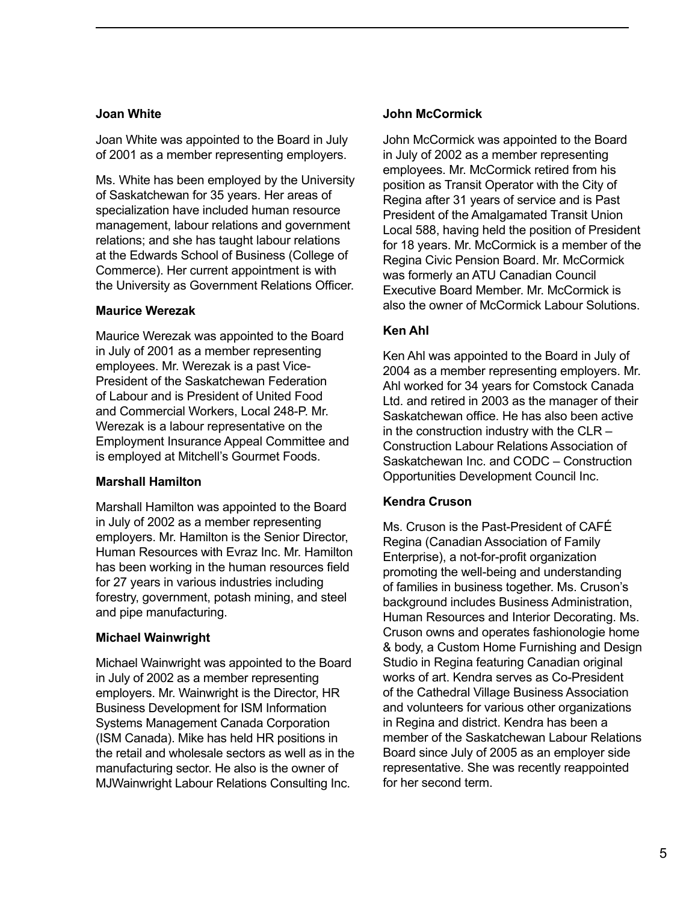#### **Joan White**

Joan White was appointed to the Board in July of 2001 as a member representing employers.

Ms. White has been employed by the University of Saskatchewan for 35 years. Her areas of specialization have included human resource management, labour relations and government relations; and she has taught labour relations at the Edwards School of Business (College of Commerce). Her current appointment is with the University as Government Relations Officer.

#### **Maurice Werezak**

Maurice Werezak was appointed to the Board in July of 2001 as a member representing employees. Mr. Werezak is a past Vice-President of the Saskatchewan Federation of Labour and is President of United Food and Commercial Workers, Local 248-P. Mr. Werezak is a labour representative on the Employment Insurance Appeal Committee and is employed at Mitchell's Gourmet Foods.

#### **Marshall Hamilton**

Marshall Hamilton was appointed to the Board in July of 2002 as a member representing employers. Mr. Hamilton is the Senior Director, Human Resources with Evraz Inc. Mr. Hamilton has been working in the human resources field for 27 years in various industries including forestry, government, potash mining, and steel and pipe manufacturing.

### **Michael Wainwright**

Michael Wainwright was appointed to the Board in July of 2002 as a member representing employers. Mr. Wainwright is the Director, HR Business Development for ISM Information Systems Management Canada Corporation (ISM Canada). Mike has held HR positions in the retail and wholesale sectors as well as in the manufacturing sector. He also is the owner of MJWainwright Labour Relations Consulting Inc.

#### **John McCormick**

John McCormick was appointed to the Board in July of 2002 as a member representing employees. Mr. McCormick retired from his position as Transit Operator with the City of Regina after 31 years of service and is Past President of the Amalgamated Transit Union Local 588, having held the position of President for 18 years. Mr. McCormick is a member of the Regina Civic Pension Board. Mr. McCormick was formerly an ATU Canadian Council Executive Board Member. Mr. McCormick is also the owner of McCormick Labour Solutions.

### **Ken Ahl**

Ken Ahl was appointed to the Board in July of 2004 as a member representing employers. Mr. Ahl worked for 34 years for Comstock Canada Ltd. and retired in 2003 as the manager of their Saskatchewan office. He has also been active in the construction industry with the CLR – Construction Labour Relations Association of Saskatchewan Inc. and CODC – Construction Opportunities Development Council Inc.

### **Kendra Cruson**

Ms. Cruson is the Past-President of CAFÉ Regina (Canadian Association of Family Enterprise), a not-for-profit organization promoting the well-being and understanding of families in business together. Ms. Cruson's background includes Business Administration, Human Resources and Interior Decorating. Ms. Cruson owns and operates fashionologie home & body, a Custom Home Furnishing and Design Studio in Regina featuring Canadian original works of art. Kendra serves as Co-President of the Cathedral Village Business Association and volunteers for various other organizations in Regina and district. Kendra has been a member of the Saskatchewan Labour Relations Board since July of 2005 as an employer side representative. She was recently reappointed for her second term.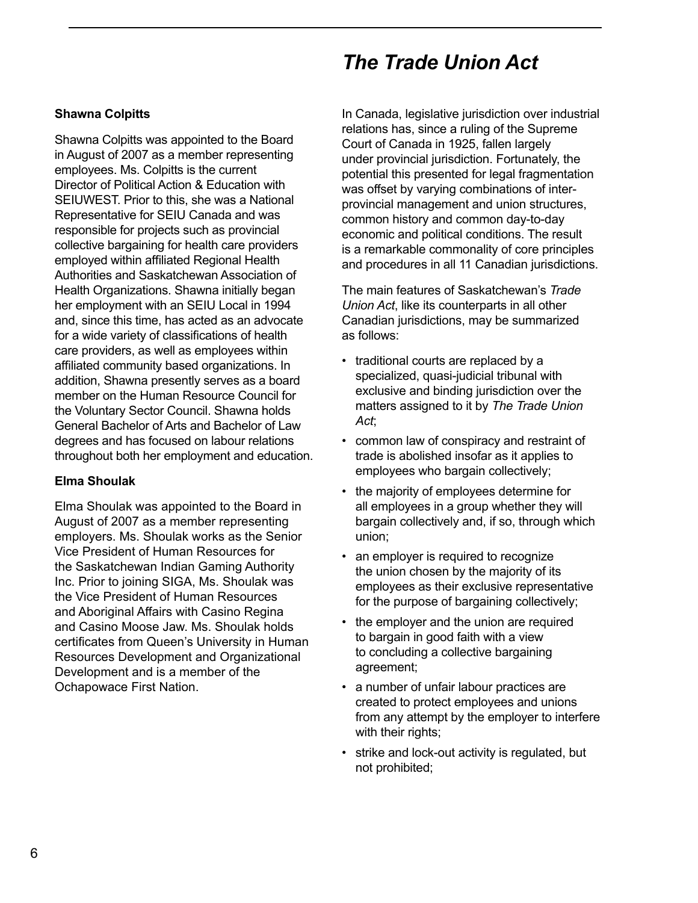# *The Trade Union Act*

### <span id="page-7-0"></span>**Shawna Colpitts**

Shawna Colpitts was appointed to the Board in August of 2007 as a member representing employees. Ms. Colpitts is the current Director of Political Action & Education with SEIUWEST. Prior to this, she was a National Representative for SEIU Canada and was responsible for projects such as provincial collective bargaining for health care providers employed within affiliated Regional Health Authorities and Saskatchewan Association of Health Organizations. Shawna initially began her employment with an SEIU Local in 1994 and, since this time, has acted as an advocate for a wide variety of classifications of health care providers, as well as employees within affiliated community based organizations. In addition, Shawna presently serves as a board member on the Human Resource Council for the Voluntary Sector Council. Shawna holds General Bachelor of Arts and Bachelor of Law degrees and has focused on labour relations throughout both her employment and education.

#### **Elma Shoulak**

Elma Shoulak was appointed to the Board in August of 2007 as a member representing employers. Ms. Shoulak works as the Senior Vice President of Human Resources for the Saskatchewan Indian Gaming Authority Inc. Prior to joining SIGA, Ms. Shoulak was the Vice President of Human Resources and Aboriginal Affairs with Casino Regina and Casino Moose Jaw. Ms. Shoulak holds certificates from Queen's University in Human Resources Development and Organizational Development and is a member of the Ochapowace First Nation.

In Canada, legislative jurisdiction over industrial relations has, since a ruling of the Supreme Court of Canada in 1925, fallen largely under provincial jurisdiction. Fortunately, the potential this presented for legal fragmentation was offset by varying combinations of interprovincial management and union structures, common history and common day-to-day economic and political conditions. The result is a remarkable commonality of core principles and procedures in all 11 Canadian jurisdictions.

The main features of Saskatchewan's *Trade Union Act*, like its counterparts in all other Canadian jurisdictions, may be summarized as follows:

- traditional courts are replaced by a specialized, quasi-judicial tribunal with exclusive and binding jurisdiction over the matters assigned to it by *The Trade Union Act*;
- common law of conspiracy and restraint of trade is abolished insofar as it applies to employees who bargain collectively;
- the majority of employees determine for all employees in a group whether they will bargain collectively and, if so, through which union;
- an employer is required to recognize the union chosen by the majority of its employees as their exclusive representative for the purpose of bargaining collectively;
- the employer and the union are required to bargain in good faith with a view to concluding a collective bargaining agreement;
- a number of unfair labour practices are created to protect employees and unions from any attempt by the employer to interfere with their rights;
- strike and lock-out activity is regulated, but not prohibited;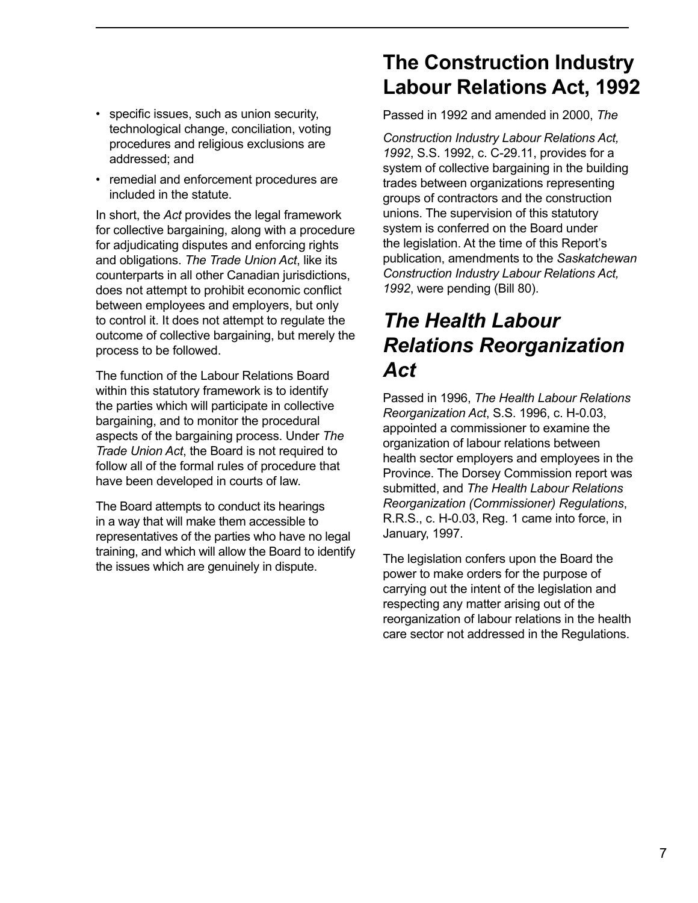- technological change, conciliation, voting procedures and religious exclusions are addressed; and
- remedial and enforcement procedures are included in the statute.

In short, the *Act* provides the legal framework for collective bargaining, along with a procedure for adjudicating disputes and enforcing rights and obligations. *The Trade Union Act*, like its counterparts in all other Canadian jurisdictions, does not attempt to prohibit economic conflict between employees and employers, but only to control it. It does not attempt to regulate the outcome of collective bargaining, but merely the process to be followed.

The function of the Labour Relations Board within this statutory framework is to identify the parties which will participate in collective bargaining, and to monitor the procedural aspects of the bargaining process. Under *The Trade Union Act*, the Board is not required to follow all of the formal rules of procedure that have been developed in courts of law.

The Board attempts to conduct its hearings in a way that will make them accessible to representatives of the parties who have no legal training, and which will allow the Board to identify the issues which are genuinely in dispute.

# **The Construction Industry Labour Relations Act, 1992**

<span id="page-8-0"></span>• specific issues, such as union security, Passed in 1992 and amended in 2000, *The* 

*Construction Industry Labour Relations Act, 1992*, S.S. 1992, c. C-29.11, provides for a system of collective bargaining in the building trades between organizations representing groups of contractors and the construction unions. The supervision of this statutory system is conferred on the Board under the legislation. At the time of this Report's publication, amendments to the *Saskatchewan Construction Industry Labour Relations Act, 1992*, were pending (Bill 80).

# *The Health Labour Relations Reorganization Act*

Passed in 1996, *The Health Labour Relations Reorganization Act*, S.S. 1996, c. H-0.03, appointed a commissioner to examine the organization of labour relations between health sector employers and employees in the Province. The Dorsey Commission report was submitted, and *The Health Labour Relations Reorganization (Commissioner) Regulations*, R.R.S., c. H-0.03, Reg. 1 came into force, in January, 1997.

The legislation confers upon the Board the power to make orders for the purpose of carrying out the intent of the legislation and respecting any matter arising out of the reorganization of labour relations in the health care sector not addressed in the Regulations.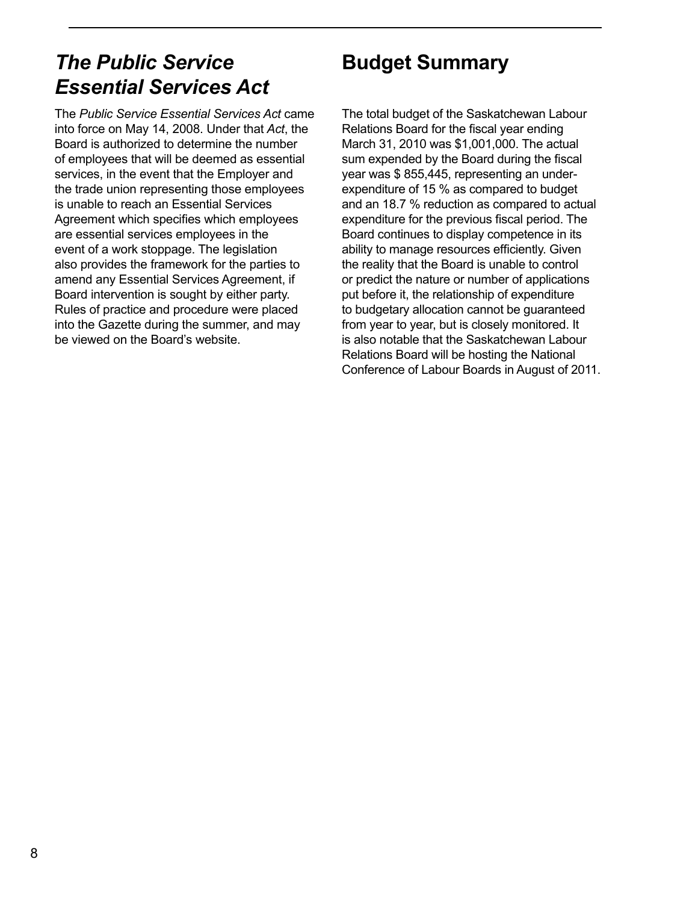# <span id="page-9-0"></span>*The Public Service Essential Services Act*

The *Public Service Essential Services Act* came into force on May 14, 2008. Under that *Act*, the Board is authorized to determine the number of employees that will be deemed as essential services, in the event that the Employer and the trade union representing those employees is unable to reach an Essential Services Agreement which specifies which employees are essential services employees in the event of a work stoppage. The legislation also provides the framework for the parties to amend any Essential Services Agreement, if Board intervention is sought by either party. Rules of practice and procedure were placed into the Gazette during the summer, and may be viewed on the Board's website.

# **Budget Summary**

The total budget of the Saskatchewan Labour Relations Board for the fiscal year ending March 31, 2010 was \$1,001,000. The actual sum expended by the Board during the fiscal year was \$ 855,445, representing an underexpenditure of 15 % as compared to budget and an 18.7 % reduction as compared to actual expenditure for the previous fiscal period. The Board continues to display competence in its ability to manage resources efficiently. Given the reality that the Board is unable to control or predict the nature or number of applications put before it, the relationship of expenditure to budgetary allocation cannot be guaranteed from year to year, but is closely monitored. It is also notable that the Saskatchewan Labour Relations Board will be hosting the National Conference of Labour Boards in August of 2011.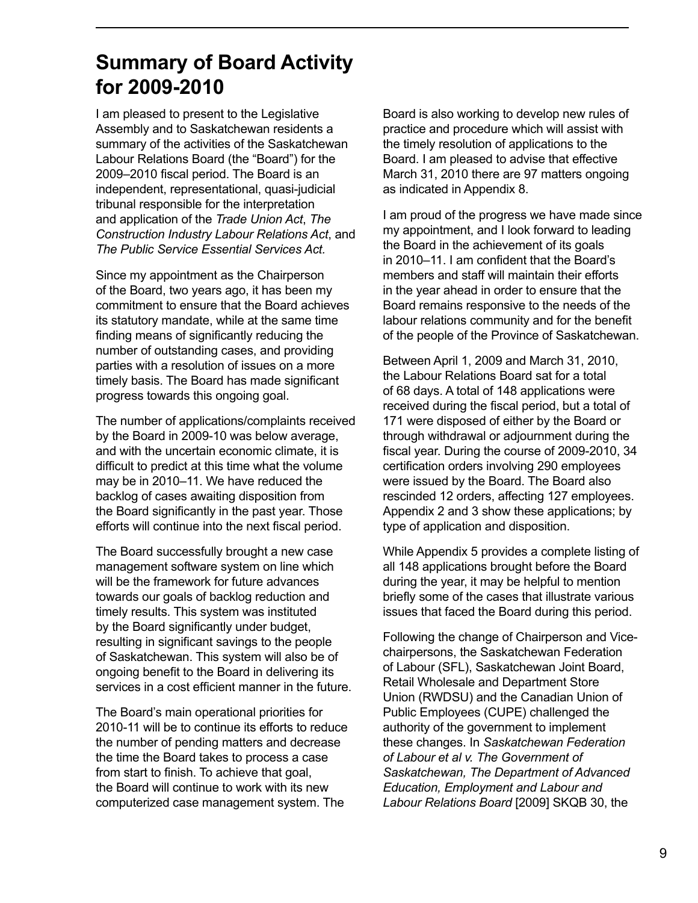# <span id="page-10-0"></span>**Summary of Board Activity for 2009-2010**

I am pleased to present to the Legislative Assembly and to Saskatchewan residents a summary of the activities of the Saskatchewan Labour Relations Board (the "Board") for the 2009–2010 fiscal period. The Board is an independent, representational, quasi-judicial tribunal responsible for the interpretation and application of the *Trade Union Act*, *The Construction Industry Labour Relations Act*, and *The Public Service Essential Services Act.*

Since my appointment as the Chairperson of the Board, two years ago, it has been my commitment to ensure that the Board achieves its statutory mandate, while at the same time finding means of significantly reducing the number of outstanding cases, and providing parties with a resolution of issues on a more timely basis. The Board has made significant progress towards this ongoing goal.

The number of applications/complaints received by the Board in 2009-10 was below average, and with the uncertain economic climate, it is difficult to predict at this time what the volume may be in 2010–11. We have reduced the backlog of cases awaiting disposition from the Board significantly in the past year. Those efforts will continue into the next fiscal period.

The Board successfully brought a new case management software system on line which will be the framework for future advances towards our goals of backlog reduction and timely results. This system was instituted by the Board significantly under budget, resulting in significant savings to the people of Saskatchewan. This system will also be of ongoing benefit to the Board in delivering its services in a cost efficient manner in the future.

The Board's main operational priorities for 2010-11 will be to continue its efforts to reduce the number of pending matters and decrease the time the Board takes to process a case from start to finish. To achieve that goal, the Board will continue to work with its new computerized case management system. The

Board is also working to develop new rules of practice and procedure which will assist with the timely resolution of applications to the Board. I am pleased to advise that effective March 31, 2010 there are 97 matters ongoing as indicated in Appendix 8.

I am proud of the progress we have made since my appointment, and I look forward to leading the Board in the achievement of its goals in 2010–11. I am confident that the Board's members and staff will maintain their efforts in the year ahead in order to ensure that the Board remains responsive to the needs of the labour relations community and for the benefit of the people of the Province of Saskatchewan.

Between April 1, 2009 and March 31, 2010, the Labour Relations Board sat for a total of 68 days. A total of 148 applications were received during the fiscal period, but a total of 171 were disposed of either by the Board or through withdrawal or adjournment during the fiscal year. During the course of 2009-2010, 34 certification orders involving 290 employees were issued by the Board. The Board also rescinded 12 orders, affecting 127 employees. Appendix 2 and 3 show these applications; by type of application and disposition.

While Appendix 5 provides a complete listing of all 148 applications brought before the Board during the year, it may be helpful to mention briefly some of the cases that illustrate various issues that faced the Board during this period.

Following the change of Chairperson and Vicechairpersons, the Saskatchewan Federation of Labour (SFL), Saskatchewan Joint Board, Retail Wholesale and Department Store Union (RWDSU) and the Canadian Union of Public Employees (CUPE) challenged the authority of the government to implement these changes. In *Saskatchewan Federation of Labour et al v. The Government of Saskatchewan, The Department of Advanced Education, Employment and Labour and Labour Relations Board* [2009] SKQB 30, the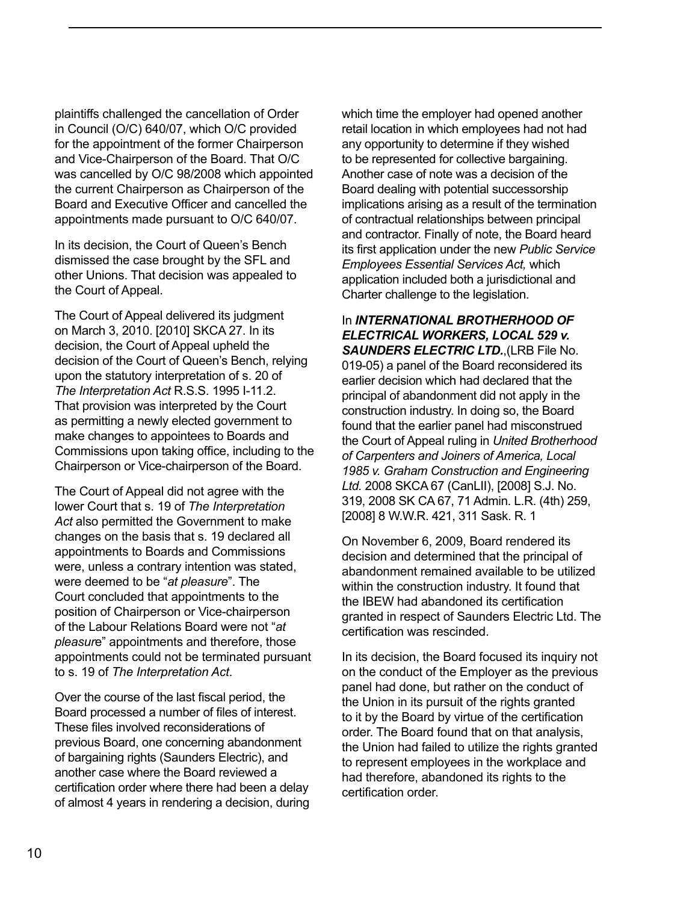plaintiffs challenged the cancellation of Order in Council (O/C) 640/07, which O/C provided for the appointment of the former Chairperson and Vice-Chairperson of the Board. That O/C was cancelled by O/C 98/2008 which appointed the current Chairperson as Chairperson of the Board and Executive Officer and cancelled the appointments made pursuant to O/C 640/07.

In its decision, the Court of Queen's Bench dismissed the case brought by the SFL and other Unions. That decision was appealed to the Court of Appeal.

The Court of Appeal delivered its judgment on March 3, 2010. [2010] SKCA 27. In its decision, the Court of Appeal upheld the decision of the Court of Queen's Bench, relying upon the statutory interpretation of s. 20 of *The Interpretation Act* R.S.S. 1995 I-11.2. That provision was interpreted by the Court as permitting a newly elected government to make changes to appointees to Boards and Commissions upon taking office, including to the Chairperson or Vice-chairperson of the Board.

The Court of Appeal did not agree with the lower Court that s. 19 of *The Interpretation Act* also permitted the Government to make changes on the basis that s. 19 declared all appointments to Boards and Commissions were, unless a contrary intention was stated, were deemed to be "*at pleasure*". The Court concluded that appointments to the position of Chairperson or Vice-chairperson of the Labour Relations Board were not "*at pleasur*e" appointments and therefore, those appointments could not be terminated pursuant to s. 19 of *The Interpretation Act*.

Over the course of the last fiscal period, the Board processed a number of files of interest. These files involved reconsiderations of previous Board, one concerning abandonment of bargaining rights (Saunders Electric), and another case where the Board reviewed a certification order where there had been a delay of almost 4 years in rendering a decision, during which time the employer had opened another retail location in which employees had not had any opportunity to determine if they wished to be represented for collective bargaining. Another case of note was a decision of the Board dealing with potential successorship implications arising as a result of the termination of contractual relationships between principal and contractor. Finally of note, the Board heard its first application under the new *Public Service Employees Essential Services Act,* which application included both a jurisdictional and Charter challenge to the legislation.

In *INTERNATIONAL BROTHERHOOD OF ELECTRICAL WORKERS, LOCAL 529 v. SAUNDERS ELECTRIC LTD.*,(LRB File No. 019-05) a panel of the Board reconsidered its earlier decision which had declared that the principal of abandonment did not apply in the construction industry. In doing so, the Board found that the earlier panel had misconstrued the Court of Appeal ruling in *United Brotherhood of Carpenters and Joiners of America, Local 1985 v. Graham Construction and Engineering Ltd.* 2008 SKCA 67 (CanLII), [2008] S.J. No. 319, 2008 SK CA 67, 71 Admin. L.R. (4th) 259, [2008] 8 W.W.R. 421, 311 Sask. R. 1

On November 6, 2009, Board rendered its decision and determined that the principal of abandonment remained available to be utilized within the construction industry. It found that the IBEW had abandoned its certification granted in respect of Saunders Electric Ltd. The certification was rescinded.

In its decision, the Board focused its inquiry not on the conduct of the Employer as the previous panel had done, but rather on the conduct of the Union in its pursuit of the rights granted to it by the Board by virtue of the certification order. The Board found that on that analysis, the Union had failed to utilize the rights granted to represent employees in the workplace and had therefore, abandoned its rights to the certification order.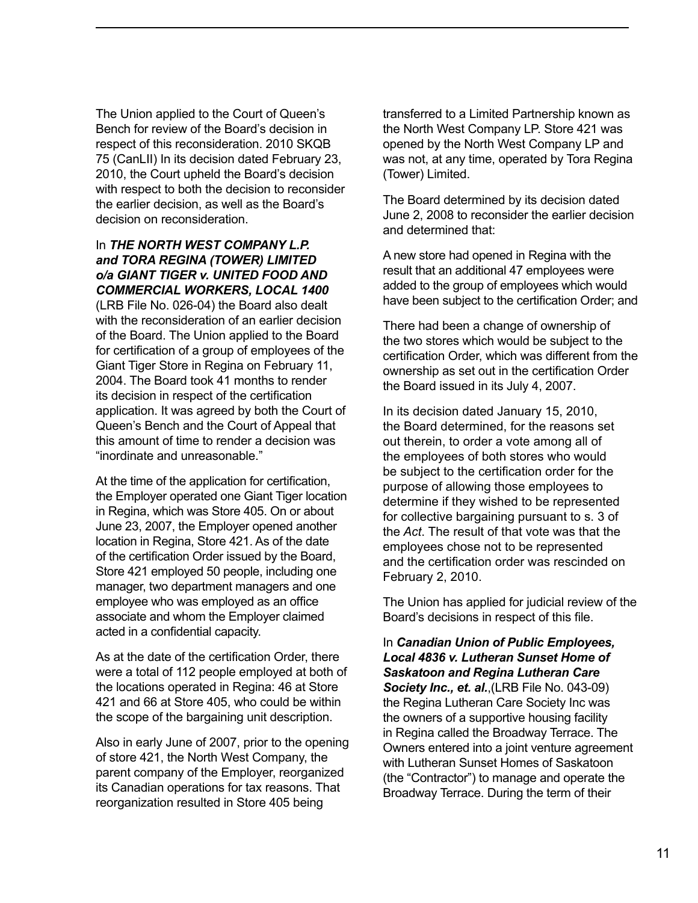The Union applied to the Court of Queen's Bench for review of the Board's decision in respect of this reconsideration. 2010 SKQB 75 (CanLII) In its decision dated February 23, 2010, the Court upheld the Board's decision with respect to both the decision to reconsider the earlier decision, as well as the Board's decision on reconsideration.

#### In *THE NORTH WEST COMPANY L.P. and TORA REGINA (TOWER) LIMITED o/a GIANT TIGER v. UNITED FOOD AND COMMERCIAL WORKERS, LOCAL 1400*

(LRB File No. 026-04) the Board also dealt with the reconsideration of an earlier decision of the Board. The Union applied to the Board for certification of a group of employees of the Giant Tiger Store in Regina on February 11, 2004. The Board took 41 months to render its decision in respect of the certification application. It was agreed by both the Court of Queen's Bench and the Court of Appeal that this amount of time to render a decision was "inordinate and unreasonable."

At the time of the application for certification, the Employer operated one Giant Tiger location in Regina, which was Store 405. On or about June 23, 2007, the Employer opened another location in Regina, Store 421. As of the date of the certification Order issued by the Board, Store 421 employed 50 people, including one manager, two department managers and one employee who was employed as an office associate and whom the Employer claimed acted in a confidential capacity.

As at the date of the certification Order, there were a total of 112 people employed at both of the locations operated in Regina: 46 at Store 421 and 66 at Store 405, who could be within the scope of the bargaining unit description.

Also in early June of 2007, prior to the opening of store 421, the North West Company, the parent company of the Employer, reorganized its Canadian operations for tax reasons. That reorganization resulted in Store 405 being

transferred to a Limited Partnership known as the North West Company LP. Store 421 was opened by the North West Company LP and was not, at any time, operated by Tora Regina (Tower) Limited.

The Board determined by its decision dated June 2, 2008 to reconsider the earlier decision and determined that:

A new store had opened in Regina with the result that an additional 47 employees were added to the group of employees which would have been subject to the certification Order; and

There had been a change of ownership of the two stores which would be subject to the certification Order, which was different from the ownership as set out in the certification Order the Board issued in its July 4, 2007.

In its decision dated January 15, 2010, the Board determined, for the reasons set out therein, to order a vote among all of the employees of both stores who would be subject to the certification order for the purpose of allowing those employees to determine if they wished to be represented for collective bargaining pursuant to s. 3 of the *Act*. The result of that vote was that the employees chose not to be represented and the certification order was rescinded on February 2, 2010.

The Union has applied for judicial review of the Board's decisions in respect of this file.

In *Canadian Union of Public Employees, Local 4836 v. Lutheran Sunset Home of Saskatoon and Regina Lutheran Care Society Inc., et. al.*,(LRB File No. 043-09) the Regina Lutheran Care Society Inc was the owners of a supportive housing facility in Regina called the Broadway Terrace. The Owners entered into a joint venture agreement with Lutheran Sunset Homes of Saskatoon (the "Contractor") to manage and operate the Broadway Terrace. During the term of their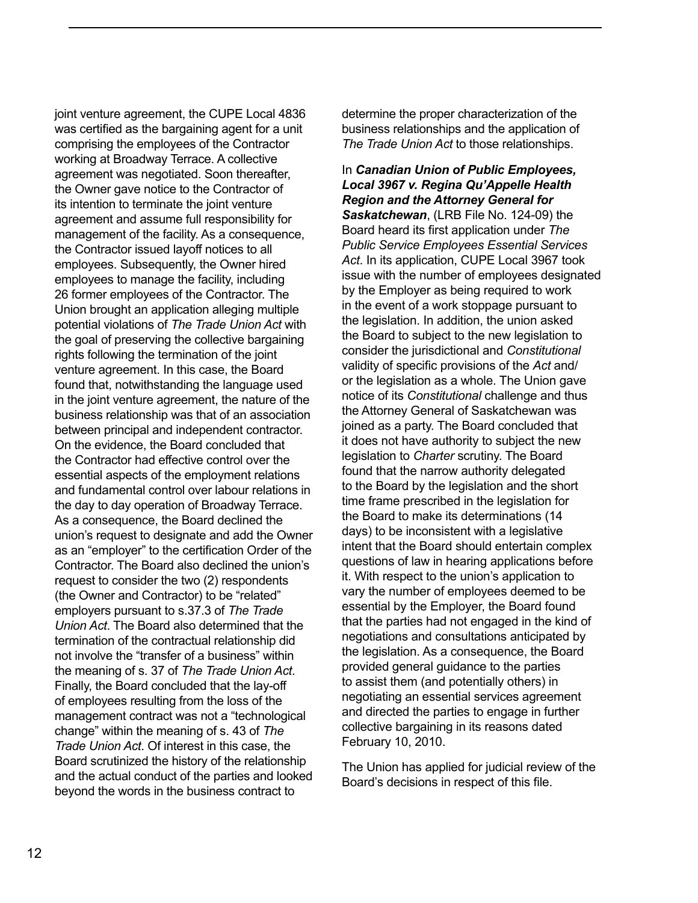joint venture agreement, the CUPE Local 4836 was certified as the bargaining agent for a unit comprising the employees of the Contractor working at Broadway Terrace. A collective agreement was negotiated. Soon thereafter, the Owner gave notice to the Contractor of its intention to terminate the joint venture agreement and assume full responsibility for management of the facility. As a consequence, the Contractor issued layoff notices to all employees. Subsequently, the Owner hired employees to manage the facility, including 26 former employees of the Contractor. The Union brought an application alleging multiple potential violations of *The Trade Union Act* with the goal of preserving the collective bargaining rights following the termination of the joint venture agreement. In this case, the Board found that, notwithstanding the language used in the joint venture agreement, the nature of the business relationship was that of an association between principal and independent contractor. On the evidence, the Board concluded that the Contractor had effective control over the essential aspects of the employment relations and fundamental control over labour relations in the day to day operation of Broadway Terrace. As a consequence, the Board declined the union's request to designate and add the Owner as an "employer" to the certification Order of the Contractor. The Board also declined the union's request to consider the two (2) respondents (the Owner and Contractor) to be "related" employers pursuant to s.37.3 of *The Trade Union Act*. The Board also determined that the termination of the contractual relationship did not involve the "transfer of a business" within the meaning of s. 37 of *The Trade Union Act*. Finally, the Board concluded that the lay-off of employees resulting from the loss of the management contract was not a "technological change" within the meaning of s. 43 of *The Trade Union Act*. Of interest in this case, the Board scrutinized the history of the relationship and the actual conduct of the parties and looked beyond the words in the business contract to

determine the proper characterization of the business relationships and the application of *The Trade Union Act* to those relationships.

In *Canadian Union of Public Employees, Local 3967 v. Regina Qu'Appelle Health Region and the Attorney General for Saskatchewan*, (LRB File No. 124-09) the Board heard its first application under *The Public Service Employees Essential Services Act*. In its application, CUPE Local 3967 took issue with the number of employees designated by the Employer as being required to work in the event of a work stoppage pursuant to the legislation. In addition, the union asked the Board to subject to the new legislation to consider the jurisdictional and *Constitutional* validity of specific provisions of the *Act* and/ or the legislation as a whole. The Union gave notice of its *Constitutional* challenge and thus the Attorney General of Saskatchewan was joined as a party. The Board concluded that it does not have authority to subject the new legislation to *Charter* scrutiny. The Board found that the narrow authority delegated to the Board by the legislation and the short time frame prescribed in the legislation for the Board to make its determinations (14 days) to be inconsistent with a legislative intent that the Board should entertain complex questions of law in hearing applications before it. With respect to the union's application to vary the number of employees deemed to be essential by the Employer, the Board found that the parties had not engaged in the kind of negotiations and consultations anticipated by the legislation. As a consequence, the Board provided general guidance to the parties to assist them (and potentially others) in negotiating an essential services agreement and directed the parties to engage in further collective bargaining in its reasons dated February 10, 2010.

The Union has applied for judicial review of the Board's decisions in respect of this file.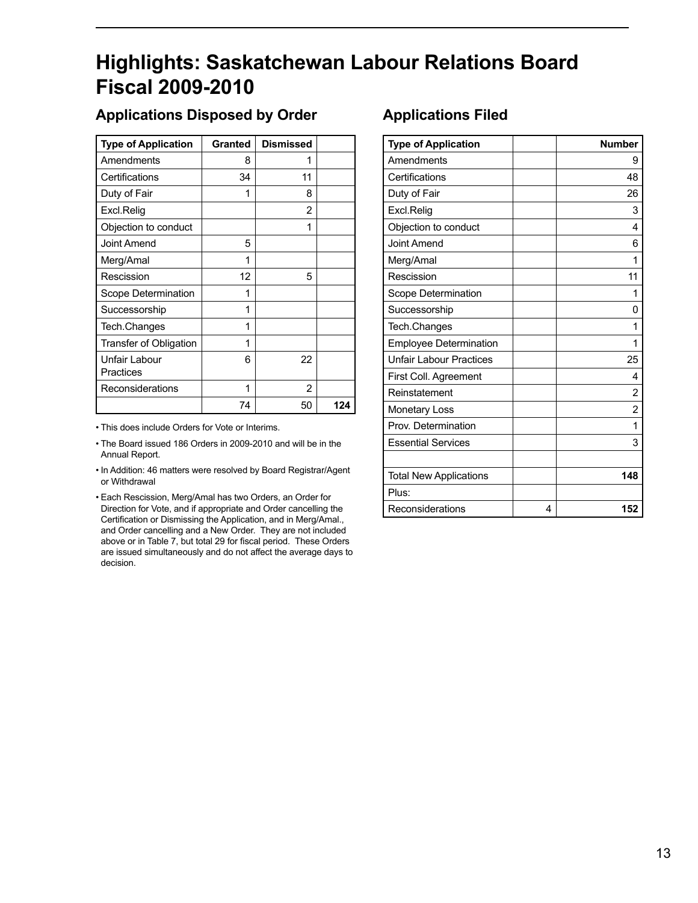# <span id="page-14-0"></span>**Highlights: Saskatchewan Labour Relations Board Fiscal 2009-2010**

## **Applications Disposed by Order**

| <b>Type of Application</b> | <b>Granted</b> | <b>Dismissed</b> |     |
|----------------------------|----------------|------------------|-----|
| Amendments                 | 8              | 1                |     |
| Certifications             | 34             | 11               |     |
| Duty of Fair               | 1              | 8                |     |
| Excl.Relig                 |                | 2                |     |
| Objection to conduct       |                | 1                |     |
| Joint Amend                | 5              |                  |     |
| Merg/Amal                  | 1              |                  |     |
| Rescission                 | 12             | 5                |     |
| Scope Determination        | 1              |                  |     |
| Successorship              | 1              |                  |     |
| Tech.Changes               | 1              |                  |     |
| Transfer of Obligation     | 1              |                  |     |
| Unfair Labour              | 6              | 22               |     |
| Practices                  |                |                  |     |
| Reconsiderations           | 1              | 2                |     |
|                            | 74             | 50               | 124 |

• This does include Orders for Vote or Interims.

• The Board issued 186 Orders in 2009-2010 and will be in the Annual Report.

• In Addition: 46 matters were resolved by Board Registrar/Agent or Withdrawal

• Each Rescission, Merg/Amal has two Orders, an Order for Direction for Vote, and if appropriate and Order cancelling the Certification or Dismissing the Application, and in Merg/Amal., and Order cancelling and a New Order. They are not included above or in Table 7, but total 29 for fiscal period. These Orders are issued simultaneously and do not affect the average days to decision.

## **Applications Filed**

| <b>Type of Application</b>     |   | <b>Number</b>  |
|--------------------------------|---|----------------|
| Amendments                     |   | 9              |
| Certifications                 |   | 48             |
| Duty of Fair                   |   | 26             |
| Excl.Relig                     |   | 3              |
| Objection to conduct           |   | 4              |
| <b>Joint Amend</b>             |   | 6              |
| Merg/Amal                      |   | 1              |
| Rescission                     |   | 11             |
| Scope Determination            |   | 1              |
| Successorship                  |   | 0              |
| Tech.Changes                   |   | 1              |
| <b>Employee Determination</b>  |   | 1              |
| <b>Unfair Labour Practices</b> |   | 25             |
| First Coll. Agreement          |   | 4              |
| Reinstatement                  |   | 2              |
| <b>Monetary Loss</b>           |   | $\overline{2}$ |
| Prov. Determination            |   | 1              |
| <b>Essential Services</b>      |   | 3              |
|                                |   |                |
| <b>Total New Applications</b>  |   | 148            |
| Plus:                          |   |                |
| Reconsiderations               | 4 | 152            |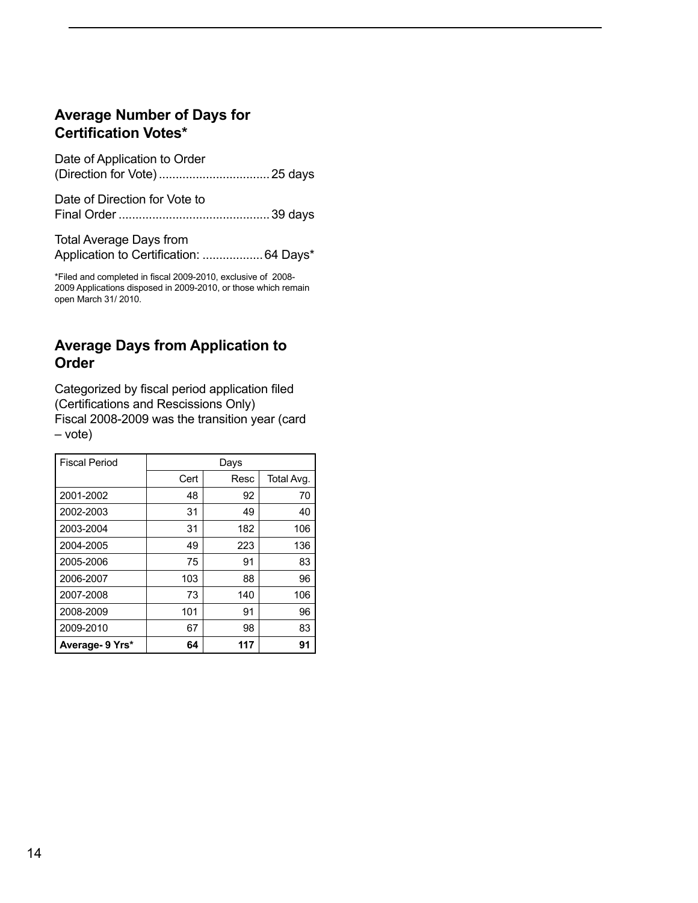## <span id="page-15-0"></span>**Average Number of Days for Certification Votes\***

| Date of Application to Order                                              |  |
|---------------------------------------------------------------------------|--|
| Date of Direction for Vote to                                             |  |
| <b>Total Average Days from</b><br>Application to Certification:  64 Days* |  |

\*Filed and completed in fiscal 2009-2010, exclusive of 2008- 2009 Applications disposed in 2009-2010, or those which remain open March 31/ 2010.

## **Average Days from Application to Order**

Categorized by fiscal period application filed (Certifications and Rescissions Only) Fiscal 2008-2009 was the transition year (card – vote)

| <b>Fiscal Period</b> | Days |      |            |
|----------------------|------|------|------------|
|                      | Cert | Resc | Total Avg. |
| 2001-2002            | 48   | 92   | 70         |
| 2002-2003            | 31   | 49   | 40         |
| 2003-2004            | 31   | 182  | 106        |
| 2004-2005            | 49   | 223  | 136        |
| 2005-2006            | 75   | 91   | 83         |
| 2006-2007            | 103  | 88   | 96         |
| 2007-2008            | 73   | 140  | 106        |
| 2008-2009            | 101  | 91   | 96         |
| 2009-2010            | 67   | 98   | 83         |
| Average- 9 Yrs*      | 64   | 117  | 91         |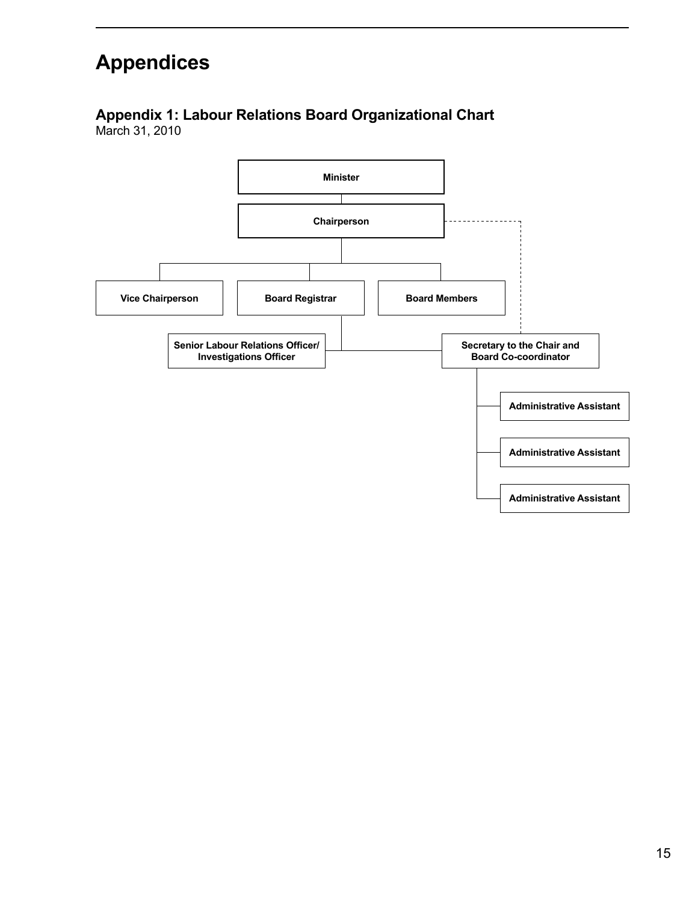# <span id="page-16-0"></span>**Appendices**

# **Appendix 1: Labour Relations Board Organizational Chart**

March 31, 2010

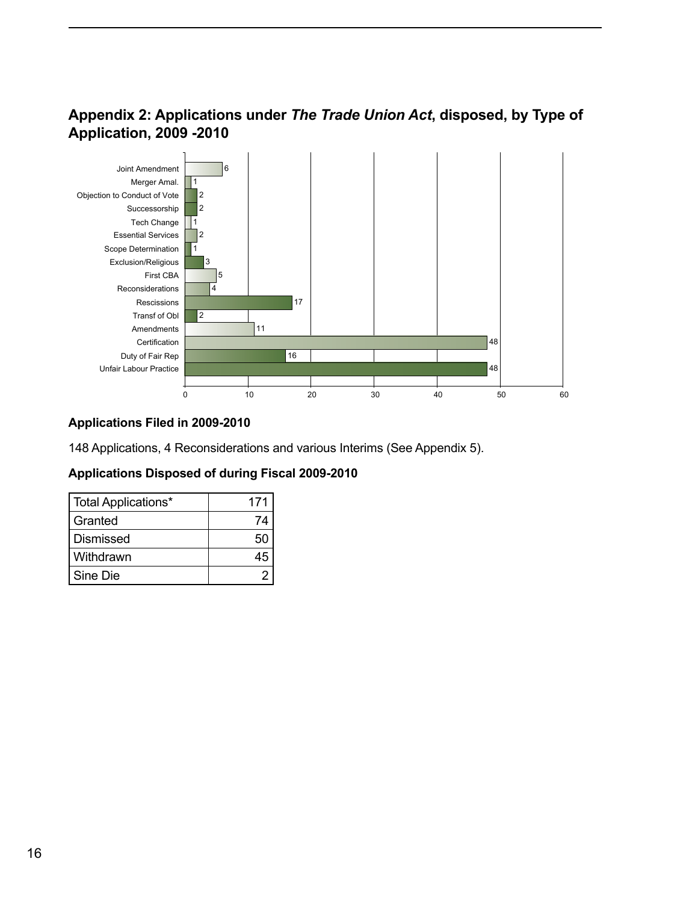## <span id="page-17-0"></span>**Appendix 2: Applications under** *The Trade Union Act***, disposed, by Type of Application, 2009 -2010**



### **Applications Filed in 2009-2010**

148 Applications, 4 Reconsiderations and various Interims (See Appendix 5).

### **Applications Disposed of during Fiscal 2009-2010**

| Total Applications* | 171 |
|---------------------|-----|
| Granted             | 74  |
| <b>Dismissed</b>    | 50  |
| I Withdrawn         |     |
| Sine Die            |     |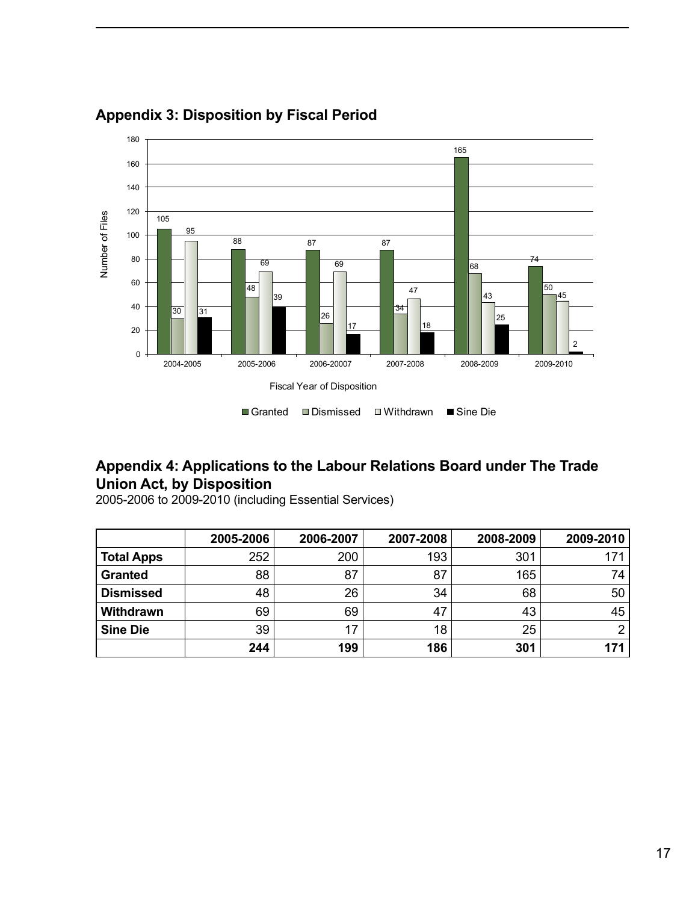

## <span id="page-18-0"></span>**Appendix 3: Disposition by Fiscal Period**

## **Appendix 4: Applications to the Labour Relations Board under The Trade Union Act, by Disposition**

|                   | 2005-2006 | 2006-2007 | 2007-2008 | 2008-2009 | 2009-2010 |
|-------------------|-----------|-----------|-----------|-----------|-----------|
| <b>Total Apps</b> | 252       | 200       | 193       | 301       | 171       |
| <b>Granted</b>    | 88        | 87        | 87        | 165       | 74        |
| <b>Dismissed</b>  | 48        | 26        | 34        | 68        | 50        |
| Withdrawn         | 69        | 69        | 47        | 43        | 45        |
| <b>Sine Die</b>   | 39        | 17        | 18        | 25        | ົ         |
|                   | 244       | 199       | 186       | 301       | 171       |

2005-2006 to 2009-2010 (including Essential Services)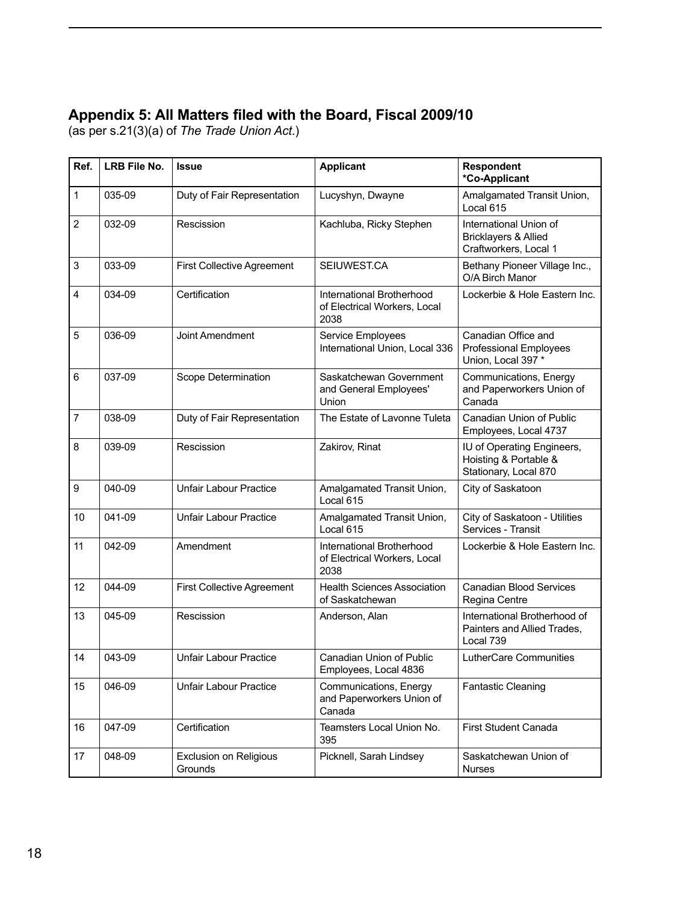## <span id="page-19-0"></span>**Appendix 5: All Matters filed with the Board, Fiscal 2009/10**

(as per s.21(3)(a) of *The Trade Union Act*.)

| Ref.           | LRB File No. | <b>Issue</b>                             | <b>Applicant</b>                                                  | <b>Respondent</b><br>*Co-Applicant                                           |
|----------------|--------------|------------------------------------------|-------------------------------------------------------------------|------------------------------------------------------------------------------|
| $\mathbf{1}$   | 035-09       | Duty of Fair Representation              | Lucyshyn, Dwayne                                                  | Amalgamated Transit Union,<br>Local 615                                      |
| $\overline{2}$ | 032-09       | Rescission                               | Kachluba, Ricky Stephen                                           | International Union of<br>Bricklayers & Allied<br>Craftworkers, Local 1      |
| 3              | 033-09       | <b>First Collective Agreement</b>        | SEIUWEST.CA                                                       | Bethany Pioneer Village Inc.,<br>O/A Birch Manor                             |
| 4              | 034-09       | Certification                            | International Brotherhood<br>of Electrical Workers, Local<br>2038 | Lockerbie & Hole Eastern Inc.                                                |
| 5              | 036-09       | Joint Amendment                          | Service Employees<br>International Union, Local 336               | Canadian Office and<br>Professional Employees<br>Union, Local 397 *          |
| 6              | 037-09       | Scope Determination                      | Saskatchewan Government<br>and General Employees'<br>Union        | Communications, Energy<br>and Paperworkers Union of<br>Canada                |
| $\overline{7}$ | 038-09       | Duty of Fair Representation              | The Estate of Lavonne Tuleta                                      | Canadian Union of Public<br>Employees, Local 4737                            |
| 8              | 039-09       | Rescission                               | Zakirov, Rinat                                                    | IU of Operating Engineers,<br>Hoisting & Portable &<br>Stationary, Local 870 |
| 9              | 040-09       | <b>Unfair Labour Practice</b>            | Amalgamated Transit Union,<br>Local 615                           | City of Saskatoon                                                            |
| 10             | 041-09       | <b>Unfair Labour Practice</b>            | Amalgamated Transit Union,<br>Local 615                           | City of Saskatoon - Utilities<br>Services - Transit                          |
| 11             | 042-09       | Amendment                                | International Brotherhood<br>of Electrical Workers, Local<br>2038 | Lockerbie & Hole Eastern Inc.                                                |
| 12             | 044-09       | <b>First Collective Agreement</b>        | <b>Health Sciences Association</b><br>of Saskatchewan             | <b>Canadian Blood Services</b><br>Regina Centre                              |
| 13             | 045-09       | Rescission                               | Anderson, Alan                                                    | International Brotherhood of<br>Painters and Allied Trades,<br>Local 739     |
| 14             | 043-09       | <b>Unfair Labour Practice</b>            | Canadian Union of Public<br>Employees, Local 4836                 | LutherCare Communities                                                       |
| 15             | 046-09       | <b>Unfair Labour Practice</b>            | Communications, Energy<br>and Paperworkers Union of<br>Canada     | Fantastic Cleaning                                                           |
| 16             | 047-09       | Certification                            | Teamsters Local Union No.<br>395                                  | <b>First Student Canada</b>                                                  |
| 17             | 048-09       | <b>Exclusion on Religious</b><br>Grounds | Picknell, Sarah Lindsey                                           | Saskatchewan Union of<br><b>Nurses</b>                                       |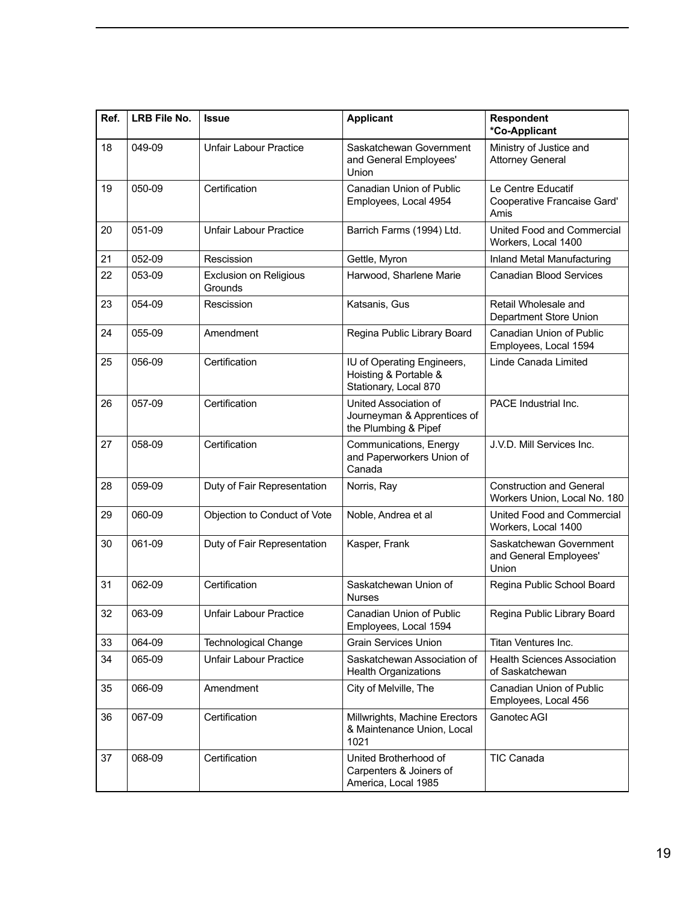| Ref. | LRB File No. | <b>Issue</b>                      | <b>Applicant</b>                                                             | <b>Respondent</b><br>*Co-Applicant                              |
|------|--------------|-----------------------------------|------------------------------------------------------------------------------|-----------------------------------------------------------------|
| 18   | 049-09       | <b>Unfair Labour Practice</b>     | Saskatchewan Government<br>and General Employees'<br>Union                   | Ministry of Justice and<br><b>Attorney General</b>              |
| 19   | 050-09       | Certification                     | Canadian Union of Public<br>Employees, Local 4954                            | Le Centre Educatif<br>Cooperative Francaise Gard'<br>Amis       |
| 20   | 051-09       | <b>Unfair Labour Practice</b>     | Barrich Farms (1994) Ltd.                                                    | United Food and Commercial<br>Workers, Local 1400               |
| 21   | 052-09       | Rescission                        | Gettle, Myron                                                                | Inland Metal Manufacturing                                      |
| 22   | 053-09       | Exclusion on Religious<br>Grounds | Harwood, Sharlene Marie                                                      | <b>Canadian Blood Services</b>                                  |
| 23   | 054-09       | Rescission                        | Katsanis, Gus                                                                | Retail Wholesale and<br>Department Store Union                  |
| 24   | 055-09       | Amendment                         | Regina Public Library Board                                                  | Canadian Union of Public<br>Employees, Local 1594               |
| 25   | 056-09       | Certification                     | IU of Operating Engineers,<br>Hoisting & Portable &<br>Stationary, Local 870 | Linde Canada Limited                                            |
| 26   | 057-09       | Certification                     | United Association of<br>Journeyman & Apprentices of<br>the Plumbing & Pipef | PACE Industrial Inc.                                            |
| 27   | 058-09       | Certification                     | Communications, Energy<br>and Paperworkers Union of<br>Canada                | J.V.D. Mill Services Inc.                                       |
| 28   | 059-09       | Duty of Fair Representation       | Norris, Ray                                                                  | <b>Construction and General</b><br>Workers Union, Local No. 180 |
| 29   | 060-09       | Objection to Conduct of Vote      | Noble, Andrea et al                                                          | United Food and Commercial<br>Workers, Local 1400               |
| 30   | 061-09       | Duty of Fair Representation       | Kasper, Frank                                                                | Saskatchewan Government<br>and General Employees'<br>Union      |
| 31   | 062-09       | Certification                     | Saskatchewan Union of<br><b>Nurses</b>                                       | Regina Public School Board                                      |
| 32   | 063-09       | <b>Unfair Labour Practice</b>     | Canadian Union of Public<br>Employees, Local 1594                            | Regina Public Library Board                                     |
| 33   | 064-09       | <b>Technological Change</b>       | <b>Grain Services Union</b>                                                  | Titan Ventures Inc.                                             |
| 34   | 065-09       | <b>Unfair Labour Practice</b>     | Saskatchewan Association of<br><b>Health Organizations</b>                   | <b>Health Sciences Association</b><br>of Saskatchewan           |
| 35   | 066-09       | Amendment                         | City of Melville, The                                                        | Canadian Union of Public<br>Employees, Local 456                |
| 36   | 067-09       | Certification                     | Millwrights, Machine Erectors<br>& Maintenance Union, Local<br>1021          | Ganotec AGI                                                     |
| 37   | 068-09       | Certification                     | United Brotherhood of<br>Carpenters & Joiners of<br>America, Local 1985      | <b>TIC Canada</b>                                               |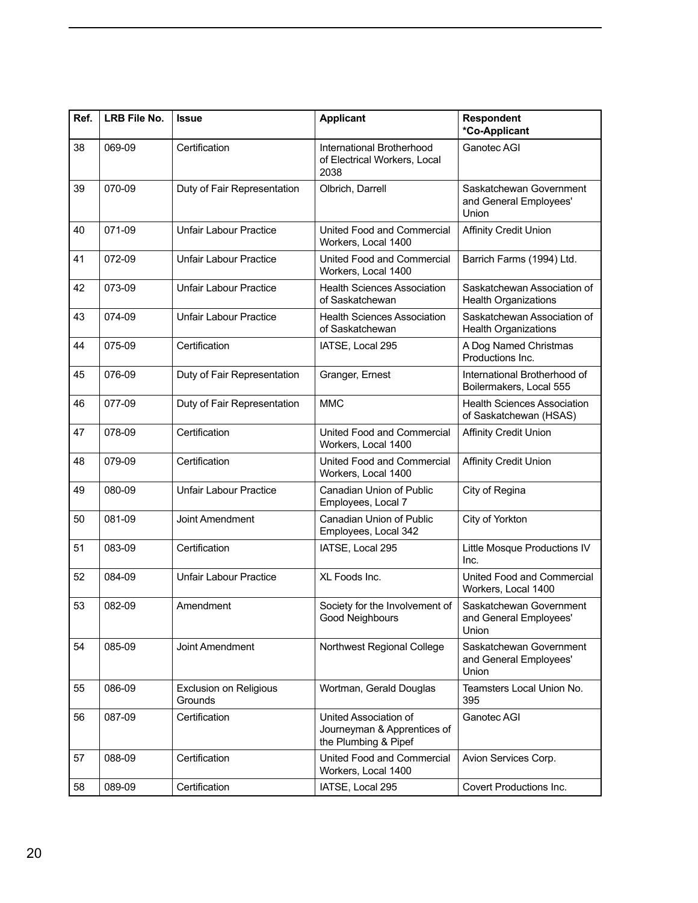| Ref. | LRB File No. | <b>Issue</b>                             | <b>Applicant</b>                                                             | <b>Respondent</b><br>*Co-Applicant                           |
|------|--------------|------------------------------------------|------------------------------------------------------------------------------|--------------------------------------------------------------|
| 38   | 069-09       | Certification                            | International Brotherhood<br>of Electrical Workers, Local<br>2038            | Ganotec AGI                                                  |
| 39   | 070-09       | Duty of Fair Representation              | Olbrich, Darrell                                                             | Saskatchewan Government<br>and General Employees'<br>Union   |
| 40   | 071-09       | <b>Unfair Labour Practice</b>            | United Food and Commercial<br>Workers, Local 1400                            | <b>Affinity Credit Union</b>                                 |
| 41   | 072-09       | <b>Unfair Labour Practice</b>            | United Food and Commercial<br>Workers, Local 1400                            | Barrich Farms (1994) Ltd.                                    |
| 42   | 073-09       | <b>Unfair Labour Practice</b>            | <b>Health Sciences Association</b><br>of Saskatchewan                        | Saskatchewan Association of<br><b>Health Organizations</b>   |
| 43   | 074-09       | <b>Unfair Labour Practice</b>            | <b>Health Sciences Association</b><br>of Saskatchewan                        | Saskatchewan Association of<br><b>Health Organizations</b>   |
| 44   | 075-09       | Certification                            | IATSE, Local 295                                                             | A Dog Named Christmas<br>Productions Inc.                    |
| 45   | 076-09       | Duty of Fair Representation              | Granger, Ernest                                                              | International Brotherhood of<br>Boilermakers, Local 555      |
| 46   | 077-09       | Duty of Fair Representation              | <b>MMC</b>                                                                   | <b>Health Sciences Association</b><br>of Saskatchewan (HSAS) |
| 47   | 078-09       | Certification                            | United Food and Commercial<br>Workers, Local 1400                            | <b>Affinity Credit Union</b>                                 |
| 48   | 079-09       | Certification                            | United Food and Commercial<br>Workers, Local 1400                            | <b>Affinity Credit Union</b>                                 |
| 49   | 080-09       | <b>Unfair Labour Practice</b>            | <b>Canadian Union of Public</b><br>Employees, Local 7                        | City of Regina                                               |
| 50   | 081-09       | Joint Amendment                          | Canadian Union of Public<br>Employees, Local 342                             | City of Yorkton                                              |
| 51   | 083-09       | Certification                            | IATSE, Local 295                                                             | Little Mosque Productions IV<br>Inc.                         |
| 52   | 084-09       | <b>Unfair Labour Practice</b>            | XL Foods Inc.                                                                | United Food and Commercial<br>Workers, Local 1400            |
| 53   | 082-09       | Amendment                                | Society for the Involvement of<br>Good Neighbours                            | Saskatchewan Government<br>and General Employees'<br>Union   |
| 54   | 085-09       | Joint Amendment                          | Northwest Regional College                                                   | Saskatchewan Government<br>and General Employees'<br>Union   |
| 55   | 086-09       | <b>Exclusion on Religious</b><br>Grounds | Wortman, Gerald Douglas                                                      | Teamsters Local Union No.<br>395                             |
| 56   | 087-09       | Certification                            | United Association of<br>Journeyman & Apprentices of<br>the Plumbing & Pipef | Ganotec AGI                                                  |
| 57   | 088-09       | Certification                            | United Food and Commercial<br>Workers, Local 1400                            | Avion Services Corp.                                         |
| 58   | 089-09       | Certification                            | IATSE, Local 295                                                             | Covert Productions Inc.                                      |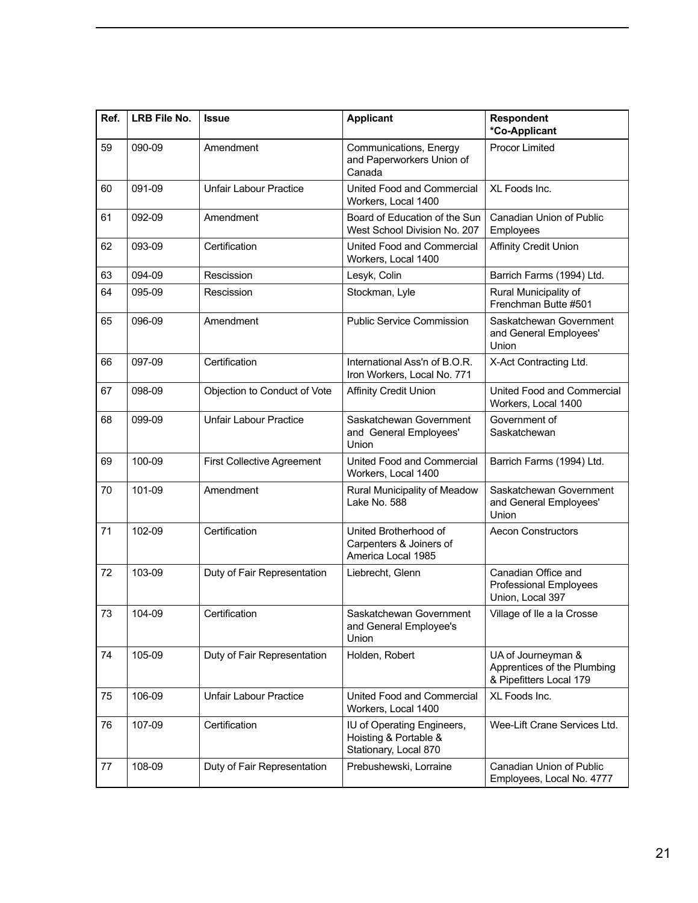| Ref. | <b>LRB File No.</b> | <b>Issue</b>                  | <b>Applicant</b>                                                             | Respondent<br>*Co-Applicant                                                  |
|------|---------------------|-------------------------------|------------------------------------------------------------------------------|------------------------------------------------------------------------------|
| 59   | 090-09              | Amendment                     | Communications, Energy<br>and Paperworkers Union of<br>Canada                | <b>Procor Limited</b>                                                        |
| 60   | 091-09              | <b>Unfair Labour Practice</b> | United Food and Commercial<br>Workers, Local 1400                            | XL Foods Inc.                                                                |
| 61   | 092-09              | Amendment                     | Board of Education of the Sun<br>West School Division No. 207                | Canadian Union of Public<br>Employees                                        |
| 62   | 093-09              | Certification                 | United Food and Commercial<br>Workers, Local 1400                            | <b>Affinity Credit Union</b>                                                 |
| 63   | 094-09              | Rescission                    | Lesyk, Colin                                                                 | Barrich Farms (1994) Ltd.                                                    |
| 64   | 095-09              | Rescission                    | Stockman, Lyle                                                               | Rural Municipality of<br>Frenchman Butte #501                                |
| 65   | 096-09              | Amendment                     | <b>Public Service Commission</b>                                             | Saskatchewan Government<br>and General Employees'<br>Union                   |
| 66   | 097-09              | Certification                 | International Ass'n of B.O.R.<br>Iron Workers, Local No. 771                 | X-Act Contracting Ltd.                                                       |
| 67   | 098-09              | Objection to Conduct of Vote  | <b>Affinity Credit Union</b>                                                 | United Food and Commercial<br>Workers, Local 1400                            |
| 68   | 099-09              | <b>Unfair Labour Practice</b> | Saskatchewan Government<br>and General Employees'<br>Union                   | Government of<br>Saskatchewan                                                |
| 69   | 100-09              | First Collective Agreement    | United Food and Commercial<br>Workers, Local 1400                            | Barrich Farms (1994) Ltd.                                                    |
| 70   | 101-09              | Amendment                     | Rural Municipality of Meadow<br>Lake No. 588                                 | Saskatchewan Government<br>and General Employees'<br>Union                   |
| 71   | 102-09              | Certification                 | United Brotherhood of<br>Carpenters & Joiners of<br>America Local 1985       | <b>Aecon Constructors</b>                                                    |
| 72   | 103-09              | Duty of Fair Representation   | Liebrecht, Glenn                                                             | Canadian Office and<br><b>Professional Employees</b><br>Union, Local 397     |
| 73   | 104-09              | Certification                 | Saskatchewan Government<br>and General Employee's<br>Union                   | Village of Ile a la Crosse                                                   |
| 74   | 105-09              | Duty of Fair Representation   | Holden, Robert                                                               | UA of Journeyman &<br>Apprentices of the Plumbing<br>& Pipefitters Local 179 |
| 75   | 106-09              | <b>Unfair Labour Practice</b> | United Food and Commercial<br>Workers, Local 1400                            | XL Foods Inc.                                                                |
| 76   | 107-09              | Certification                 | IU of Operating Engineers,<br>Hoisting & Portable &<br>Stationary, Local 870 | Wee-Lift Crane Services Ltd.                                                 |
| 77   | 108-09              | Duty of Fair Representation   | Prebushewski, Lorraine                                                       | Canadian Union of Public<br>Employees, Local No. 4777                        |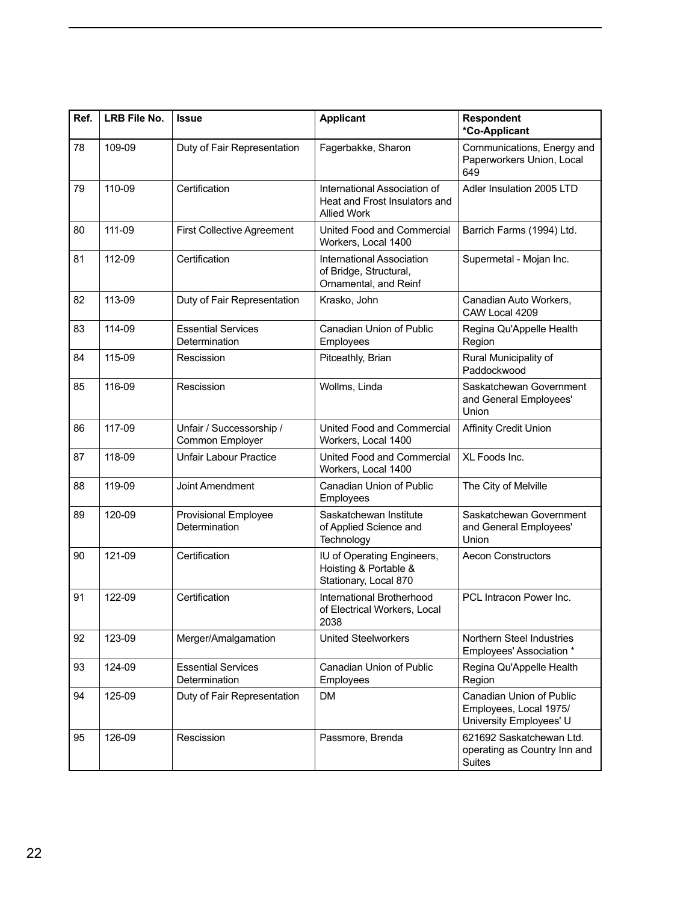| Ref. | LRB File No. | <b>Issue</b>                                | <b>Applicant</b>                                                                    | Respondent<br>*Co-Applicant                                                   |
|------|--------------|---------------------------------------------|-------------------------------------------------------------------------------------|-------------------------------------------------------------------------------|
| 78   | 109-09       | Duty of Fair Representation                 | Fagerbakke, Sharon                                                                  | Communications, Energy and<br>Paperworkers Union, Local<br>649                |
| 79   | 110-09       | Certification                               | International Association of<br>Heat and Frost Insulators and<br><b>Allied Work</b> | Adler Insulation 2005 LTD                                                     |
| 80   | 111-09       | <b>First Collective Agreement</b>           | United Food and Commercial<br>Workers, Local 1400                                   | Barrich Farms (1994) Ltd.                                                     |
| 81   | 112-09       | Certification                               | <b>International Association</b><br>of Bridge, Structural,<br>Ornamental, and Reinf | Supermetal - Mojan Inc.                                                       |
| 82   | 113-09       | Duty of Fair Representation                 | Krasko, John                                                                        | Canadian Auto Workers,<br>CAW Local 4209                                      |
| 83   | 114-09       | <b>Essential Services</b><br>Determination  | Canadian Union of Public<br>Employees                                               | Regina Qu'Appelle Health<br>Region                                            |
| 84   | 115-09       | Rescission                                  | Pitceathly, Brian                                                                   | Rural Municipality of<br>Paddockwood                                          |
| 85   | 116-09       | Rescission                                  | Wollms, Linda                                                                       | Saskatchewan Government<br>and General Employees'<br>Union                    |
| 86   | 117-09       | Unfair / Successorship /<br>Common Employer | United Food and Commercial<br>Workers, Local 1400                                   | <b>Affinity Credit Union</b>                                                  |
| 87   | 118-09       | <b>Unfair Labour Practice</b>               | United Food and Commercial<br>Workers, Local 1400                                   | XL Foods Inc.                                                                 |
| 88   | 119-09       | Joint Amendment                             | <b>Canadian Union of Public</b><br>Employees                                        | The City of Melville                                                          |
| 89   | 120-09       | Provisional Employee<br>Determination       | Saskatchewan Institute<br>of Applied Science and<br>Technology                      | Saskatchewan Government<br>and General Employees'<br>Union                    |
| 90   | 121-09       | Certification                               | IU of Operating Engineers,<br>Hoisting & Portable &<br>Stationary, Local 870        | <b>Aecon Constructors</b>                                                     |
| 91   | 122-09       | Certification                               | International Brotherhood<br>of Electrical Workers, Local<br>2038                   | PCL Intracon Power Inc.                                                       |
| 92   | 123-09       | Merger/Amalgamation                         | <b>United Steelworkers</b>                                                          | Northern Steel Industries<br>Employees' Association *                         |
| 93   | 124-09       | <b>Essential Services</b><br>Determination  | Canadian Union of Public<br>Employees                                               | Regina Qu'Appelle Health<br>Region                                            |
| 94   | 125-09       | Duty of Fair Representation                 | DM                                                                                  | Canadian Union of Public<br>Employees, Local 1975/<br>University Employees' U |
| 95   | 126-09       | Rescission                                  | Passmore, Brenda                                                                    | 621692 Saskatchewan Ltd.<br>operating as Country Inn and<br>Suites            |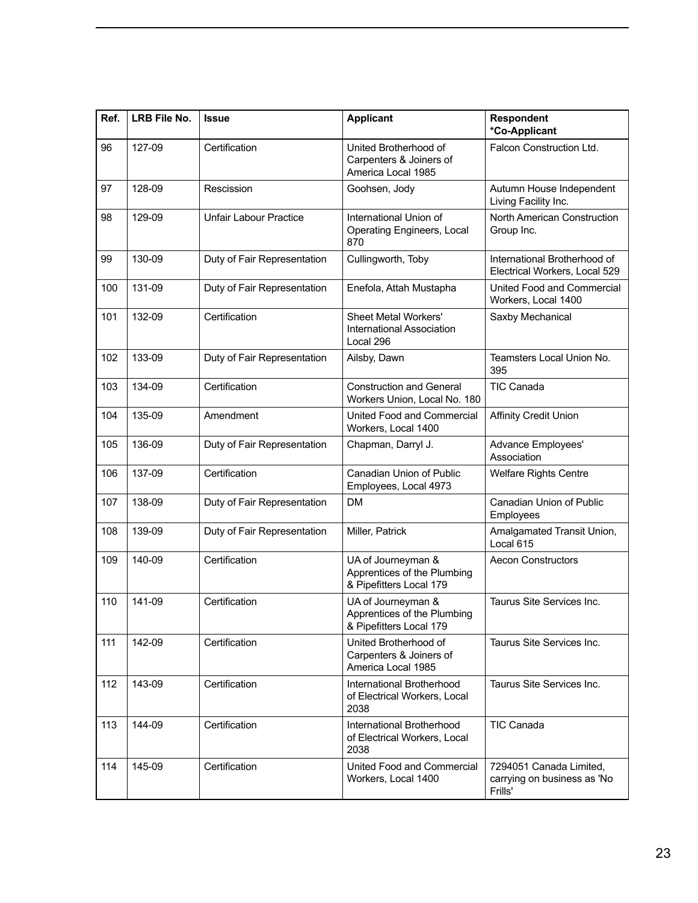| Ref. | <b>LRB File No.</b> | <b>Issue</b>                  | <b>Applicant</b>                                                             | Respondent<br>*Co-Applicant                                       |
|------|---------------------|-------------------------------|------------------------------------------------------------------------------|-------------------------------------------------------------------|
| 96   | 127-09              | Certification                 | United Brotherhood of<br>Carpenters & Joiners of<br>America Local 1985       | Falcon Construction Ltd.                                          |
| 97   | 128-09              | Rescission                    | Goohsen, Jody                                                                | Autumn House Independent<br>Living Facility Inc.                  |
| 98   | 129-09              | <b>Unfair Labour Practice</b> | International Union of<br><b>Operating Engineers, Local</b><br>870           | North American Construction<br>Group Inc.                         |
| 99   | 130-09              | Duty of Fair Representation   | Cullingworth, Toby                                                           | International Brotherhood of<br>Electrical Workers, Local 529     |
| 100  | 131-09              | Duty of Fair Representation   | Enefola, Attah Mustapha                                                      | United Food and Commercial<br>Workers, Local 1400                 |
| 101  | 132-09              | Certification                 | <b>Sheet Metal Workers'</b><br><b>International Association</b><br>Local 296 | Saxby Mechanical                                                  |
| 102  | 133-09              | Duty of Fair Representation   | Ailsby, Dawn                                                                 | Teamsters Local Union No.<br>395                                  |
| 103  | 134-09              | Certification                 | <b>Construction and General</b><br>Workers Union, Local No. 180              | <b>TIC Canada</b>                                                 |
| 104  | 135-09              | Amendment                     | United Food and Commercial<br>Workers, Local 1400                            | <b>Affinity Credit Union</b>                                      |
| 105  | 136-09              | Duty of Fair Representation   | Chapman, Darryl J.                                                           | Advance Employees'<br>Association                                 |
| 106  | 137-09              | Certification                 | Canadian Union of Public<br>Employees, Local 4973                            | <b>Welfare Rights Centre</b>                                      |
| 107  | 138-09              | Duty of Fair Representation   | <b>DM</b>                                                                    | Canadian Union of Public<br>Employees                             |
| 108  | 139-09              | Duty of Fair Representation   | Miller, Patrick                                                              | Amalgamated Transit Union,<br>Local 615                           |
| 109  | 140-09              | Certification                 | UA of Journeyman &<br>Apprentices of the Plumbing<br>& Pipefitters Local 179 | <b>Aecon Constructors</b>                                         |
| 110  | 141-09              | Certification                 | UA of Journeyman &<br>Apprentices of the Plumbing<br>& Pipefitters Local 179 | Taurus Site Services Inc.                                         |
| 111  | 142-09              | Certification                 | United Brotherhood of<br>Carpenters & Joiners of<br>America Local 1985       | Taurus Site Services Inc.                                         |
| 112  | 143-09              | Certification                 | International Brotherhood<br>of Electrical Workers, Local<br>2038            | Taurus Site Services Inc.                                         |
| 113  | 144-09              | Certification                 | International Brotherhood<br>of Electrical Workers, Local<br>2038            | <b>TIC Canada</b>                                                 |
| 114  | 145-09              | Certification                 | United Food and Commercial<br>Workers, Local 1400                            | 7294051 Canada Limited,<br>carrying on business as 'No<br>Frills' |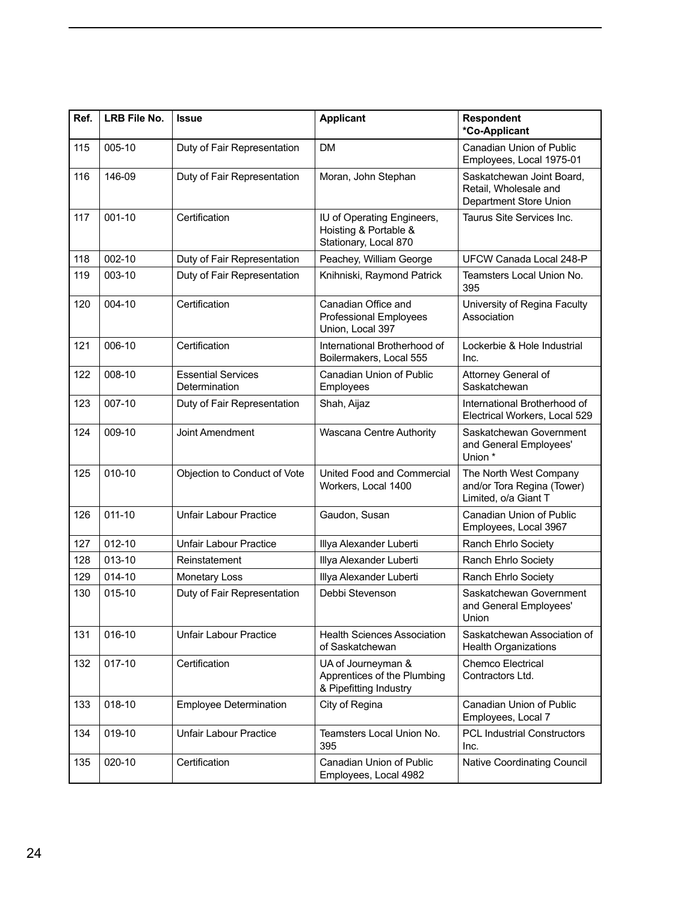| Ref. | LRB File No. | <b>Issue</b>                               | <b>Applicant</b>                                                             | <b>Respondent</b><br>*Co-Applicant                                           |  |  |
|------|--------------|--------------------------------------------|------------------------------------------------------------------------------|------------------------------------------------------------------------------|--|--|
| 115  | 005-10       | Duty of Fair Representation                | <b>DM</b>                                                                    | Canadian Union of Public<br>Employees, Local 1975-01                         |  |  |
| 116  | 146-09       | Duty of Fair Representation                | Moran, John Stephan                                                          | Saskatchewan Joint Board,<br>Retail, Wholesale and<br>Department Store Union |  |  |
| 117  | 001-10       | Certification                              | IU of Operating Engineers,<br>Hoisting & Portable &<br>Stationary, Local 870 | Taurus Site Services Inc.                                                    |  |  |
| 118  | 002-10       | Duty of Fair Representation                | Peachey, William George                                                      | UFCW Canada Local 248-P                                                      |  |  |
| 119  | 003-10       | Duty of Fair Representation                | Knihniski, Raymond Patrick                                                   | Teamsters Local Union No.<br>395                                             |  |  |
| 120  | 004-10       | Certification                              | Canadian Office and<br><b>Professional Employees</b><br>Union, Local 397     | University of Regina Faculty<br>Association                                  |  |  |
| 121  | 006-10       | Certification                              | International Brotherhood of<br>Boilermakers, Local 555                      | Lockerbie & Hole Industrial<br>Inc.                                          |  |  |
| 122  | 008-10       | <b>Essential Services</b><br>Determination | Canadian Union of Public<br>Employees                                        | Attorney General of<br>Saskatchewan                                          |  |  |
| 123  | 007-10       | Duty of Fair Representation                | Shah, Aijaz                                                                  | International Brotherhood of<br>Electrical Workers, Local 529                |  |  |
| 124  | 009-10       | Joint Amendment                            | Wascana Centre Authority                                                     | Saskatchewan Government<br>and General Employees'<br>Union *                 |  |  |
| 125  | $010 - 10$   | Objection to Conduct of Vote               | United Food and Commercial<br>Workers, Local 1400                            | The North West Company<br>and/or Tora Regina (Tower)<br>Limited, o/a Giant T |  |  |
| 126  | $011 - 10$   | <b>Unfair Labour Practice</b>              | Gaudon, Susan                                                                | Canadian Union of Public<br>Employees, Local 3967                            |  |  |
| 127  | 012-10       | <b>Unfair Labour Practice</b>              | Illya Alexander Luberti                                                      | Ranch Ehrlo Society                                                          |  |  |
| 128  | $013 - 10$   | Reinstatement                              | Illya Alexander Luberti                                                      | Ranch Ehrlo Society                                                          |  |  |
| 129  | 014-10       | Monetary Loss                              | Illya Alexander Luberti                                                      | Ranch Ehrlo Society                                                          |  |  |
| 130  | 015-10       | Duty of Fair Representation                | Debbi Stevenson                                                              | Saskatchewan Government<br>and General Employees'<br>Union                   |  |  |
| 131  | 016-10       | Unfair Labour Practice                     | <b>Health Sciences Association</b><br>of Saskatchewan                        | Saskatchewan Association of<br><b>Health Organizations</b>                   |  |  |
| 132  | 017-10       | Certification                              | UA of Journeyman &<br>Apprentices of the Plumbing<br>& Pipefitting Industry  | Chemco Electrical<br>Contractors Ltd.                                        |  |  |
| 133  | 018-10       | <b>Employee Determination</b>              | City of Regina                                                               | Canadian Union of Public<br>Employees, Local 7                               |  |  |
| 134  | 019-10       | <b>Unfair Labour Practice</b>              | Teamsters Local Union No.<br>395                                             | <b>PCL Industrial Constructors</b><br>Inc.                                   |  |  |
| 135  | 020-10       | Certification                              | Canadian Union of Public<br>Employees, Local 4982                            | Native Coordinating Council                                                  |  |  |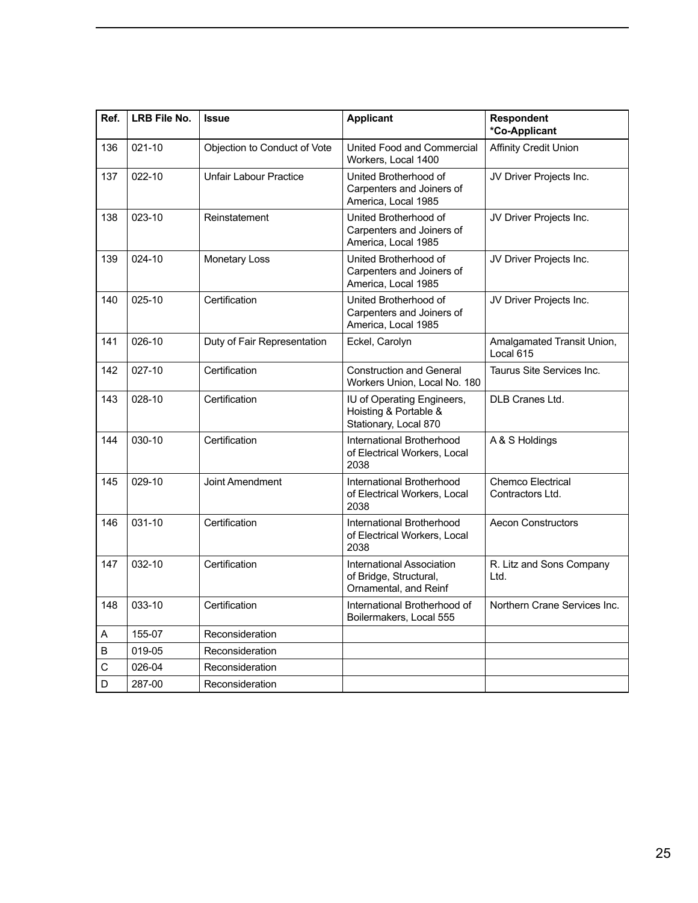| Ref. | LRB File No. | <b>Issue</b>                  | <b>Applicant</b>                                                             | <b>Respondent</b><br>*Co-Applicant      |  |  |
|------|--------------|-------------------------------|------------------------------------------------------------------------------|-----------------------------------------|--|--|
| 136  | 021-10       | Objection to Conduct of Vote  | United Food and Commercial<br>Workers. Local 1400                            | <b>Affinity Credit Union</b>            |  |  |
| 137  | 022-10       | <b>Unfair Labour Practice</b> | United Brotherhood of<br>Carpenters and Joiners of<br>America, Local 1985    | JV Driver Projects Inc.                 |  |  |
| 138  | 023-10       | Reinstatement                 | United Brotherhood of<br>Carpenters and Joiners of<br>America, Local 1985    | JV Driver Projects Inc.                 |  |  |
| 139  | 024-10       | Monetary Loss                 | United Brotherhood of<br>Carpenters and Joiners of<br>America, Local 1985    | JV Driver Projects Inc.                 |  |  |
| 140  | 025-10       | Certification                 | United Brotherhood of<br>Carpenters and Joiners of<br>America, Local 1985    | JV Driver Projects Inc.                 |  |  |
| 141  | 026-10       | Duty of Fair Representation   | Eckel, Carolyn                                                               | Amalgamated Transit Union,<br>Local 615 |  |  |
| 142  | 027-10       | Certification                 | <b>Construction and General</b><br>Workers Union, Local No. 180              | Taurus Site Services Inc.               |  |  |
| 143  | 028-10       | Certification                 | IU of Operating Engineers,<br>Hoisting & Portable &<br>Stationary, Local 870 | DLB Cranes Ltd.                         |  |  |
| 144  | 030-10       | Certification                 | International Brotherhood<br>of Electrical Workers, Local<br>2038            | A & S Holdings                          |  |  |
| 145  | 029-10       | Joint Amendment               | International Brotherhood<br>of Electrical Workers, Local<br>2038            | Chemco Electrical<br>Contractors Ltd.   |  |  |
| 146  | 031-10       | Certification                 | International Brotherhood<br>of Electrical Workers, Local<br>2038            | <b>Aecon Constructors</b>               |  |  |
| 147  | 032-10       | Certification                 | International Association<br>of Bridge, Structural,<br>Ornamental, and Reinf | R. Litz and Sons Company<br>Ltd.        |  |  |
| 148  | 033-10       | Certification                 | International Brotherhood of<br>Boilermakers, Local 555                      | Northern Crane Services Inc.            |  |  |
| A    | 155-07       | Reconsideration               |                                                                              |                                         |  |  |
| B    | 019-05       | Reconsideration               |                                                                              |                                         |  |  |
| С    | 026-04       | Reconsideration               |                                                                              |                                         |  |  |
| D    | 287-00       | Reconsideration               |                                                                              |                                         |  |  |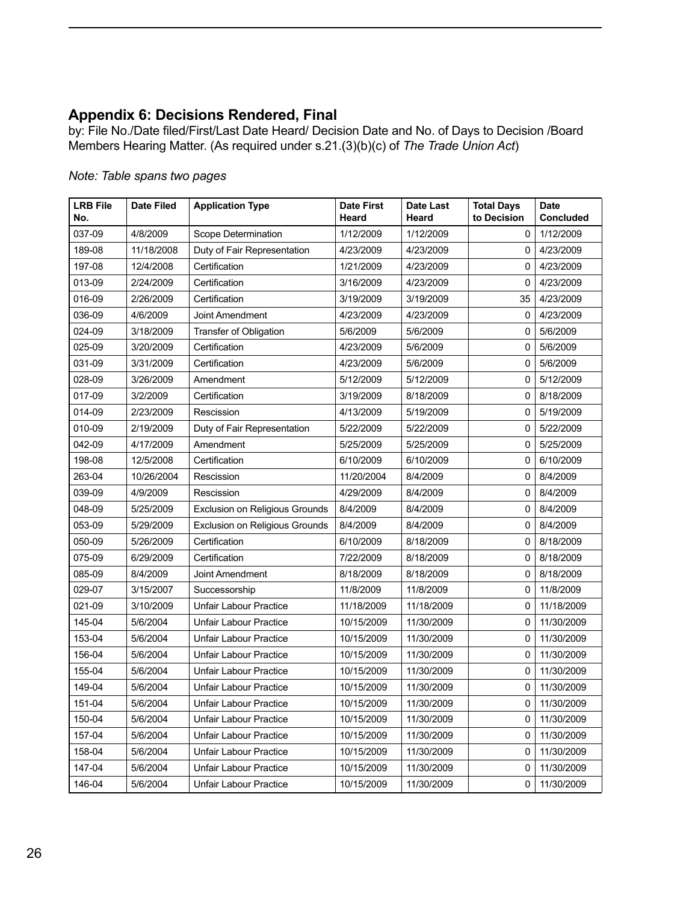## <span id="page-27-0"></span>**Appendix 6: Decisions Rendered, Final**

by: File No./Date filed/First/Last Date Heard/ Decision Date and No. of Days to Decision /Board Members Hearing Matter. (As required under s.21.(3)(b)(c) of *The Trade Union Act*)

| <b>LRB File</b><br>No. | Date Filed           | <b>Application Type</b>                          | <b>Date First</b><br>Heard | <b>Date Last</b><br>Heard | <b>Total Days</b><br>to Decision | <b>Date</b><br><b>Concluded</b>      |
|------------------------|----------------------|--------------------------------------------------|----------------------------|---------------------------|----------------------------------|--------------------------------------|
| 037-09                 | 4/8/2009             | Scope Determination                              | 1/12/2009                  | 1/12/2009                 |                                  | 0   1/12/2009                        |
| 189-08                 | 11/18/2008           | Duty of Fair Representation                      | 4/23/2009                  | 4/23/2009                 |                                  | 0   4/23/2009                        |
| 197-08                 | 12/4/2008            | Certification                                    | 1/21/2009                  | 4/23/2009                 | $\Omega$                         | 4/23/2009                            |
| $ 013-09$              | 2/24/2009            | Certification                                    | 3/16/2009                  | 4/23/2009                 | $\mathbf{0}$                     | 4/23/2009                            |
| 016-09                 | 2/26/2009            | Certification                                    | 3/19/2009                  | 3/19/2009                 | 35                               | 4/23/2009                            |
| 036-09                 | 4/6/2009             | Joint Amendment                                  | 4/23/2009                  | 4/23/2009                 | $\mathbf{0}$                     | 4/23/2009                            |
| 024-09                 | 3/18/2009            | Transfer of Obligation                           | 5/6/2009                   | 5/6/2009                  |                                  | 0   5/6/2009                         |
| 025-09                 | 3/20/2009            | Certification                                    | 4/23/2009                  | 5/6/2009                  |                                  | 0   5/6/2009                         |
| 031-09                 | 3/31/2009            | Certification                                    | 4/23/2009                  | 5/6/2009                  |                                  | 0   5/6/2009                         |
| 028-09                 | 3/26/2009            | Amendment                                        | 5/12/2009                  | 5/12/2009                 |                                  | 0   5/12/2009                        |
| 017-09                 | 3/2/2009             | Certification                                    | 3/19/2009                  | 8/18/2009                 |                                  | 0   8/18/2009                        |
| $ 014-09$              | 2/23/2009            | Rescission                                       | 4/13/2009                  | 5/19/2009                 | $\mathbf{0}$                     | 5/19/2009                            |
| 010-09                 | 2/19/2009            | Duty of Fair Representation                      | 5/22/2009                  | 5/22/2009                 | 0 <sup>1</sup>                   | 5/22/2009                            |
| 042-09                 | 4/17/2009            | Amendment                                        | 5/25/2009                  | 5/25/2009                 | $\mathbf 0$                      | 5/25/2009                            |
| 198-08                 | 12/5/2008            | Certification                                    | 6/10/2009                  | 6/10/2009                 | $\Omega$                         | 6/10/2009                            |
| 263-04                 | 10/26/2004           | Rescission                                       | 11/20/2004                 | 8/4/2009                  |                                  | 0   8/4/2009                         |
| 039-09                 | 4/9/2009             | Rescission                                       | 4/29/2009                  | 8/4/2009                  |                                  | 0   8/4/2009                         |
| 048-09                 | 5/25/2009            | Exclusion on Religious Grounds                   | 8/4/2009                   | 8/4/2009                  | $\mathbf 0$                      | 8/4/2009                             |
| 053-09                 | 5/29/2009            | Exclusion on Religious Grounds                   | 8/4/2009                   | 8/4/2009                  | $\Omega$                         | 8/4/2009                             |
| 050-09                 | 5/26/2009            | Certification                                    | 6/10/2009                  | 8/18/2009                 |                                  | 0   8/18/2009                        |
| 075-09                 | 6/29/2009            | Certification                                    | 7/22/2009                  | 8/18/2009                 |                                  | 0   8/18/2009                        |
| 085-09                 | 8/4/2009             | Joint Amendment                                  | 8/18/2009                  | 8/18/2009                 |                                  | 0   8/18/2009                        |
| 029-07                 | 3/15/2007            | Successorship                                    | 11/8/2009                  | 11/8/2009                 |                                  | $0$   11/8/2009                      |
| 021-09                 | 3/10/2009            | Unfair Labour Practice                           | 11/18/2009                 | 11/18/2009                |                                  | $0$   11/18/2009                     |
| 145-04                 | 5/6/2004             | Unfair Labour Practice                           | 10/15/2009                 | 11/30/2009                |                                  | $0$   11/30/2009                     |
| 153-04                 | 5/6/2004             | <b>Unfair Labour Practice</b>                    | 10/15/2009                 | 11/30/2009                |                                  | $0$   11/30/2009                     |
| 156-04                 | 5/6/2004             | Unfair Labour Practice                           | 10/15/2009                 | 11/30/2009                |                                  | $0$   11/30/2009                     |
| 155-04                 | 5/6/2004             | Unfair Labour Practice                           | 10/15/2009                 | 11/30/2009                |                                  | $0$   11/30/2009                     |
| 149-04                 | 5/6/2004             | Unfair Labour Practice                           | 10/15/2009                 | 11/30/2009                |                                  | $0$   11/30/2009                     |
| 151-04                 | 5/6/2004             | <b>Unfair Labour Practice</b>                    | 10/15/2009                 | 11/30/2009                |                                  | $0$   11/30/2009                     |
| 150-04                 | 5/6/2004             | Unfair Labour Practice                           | 10/15/2009                 | 11/30/2009                |                                  | $0$   11/30/2009                     |
| 157-04                 | 5/6/2004             | Unfair Labour Practice                           | 10/15/2009                 | 11/30/2009                |                                  | $0$   11/30/2009                     |
|                        | 5/6/2004             | <b>Unfair Labour Practice</b>                    | 10/15/2009                 | 11/30/2009                |                                  | $0$   11/30/2009                     |
| 158-04                 |                      |                                                  |                            |                           |                                  |                                      |
|                        |                      |                                                  |                            |                           |                                  |                                      |
| 147-04<br>146-04       | 5/6/2004<br>5/6/2004 | Unfair Labour Practice<br>Unfair Labour Practice | 10/15/2009<br>10/15/2009   | 11/30/2009<br>11/30/2009  |                                  | $0$   11/30/2009<br>$0$   11/30/2009 |

### *Note: Table spans two pages*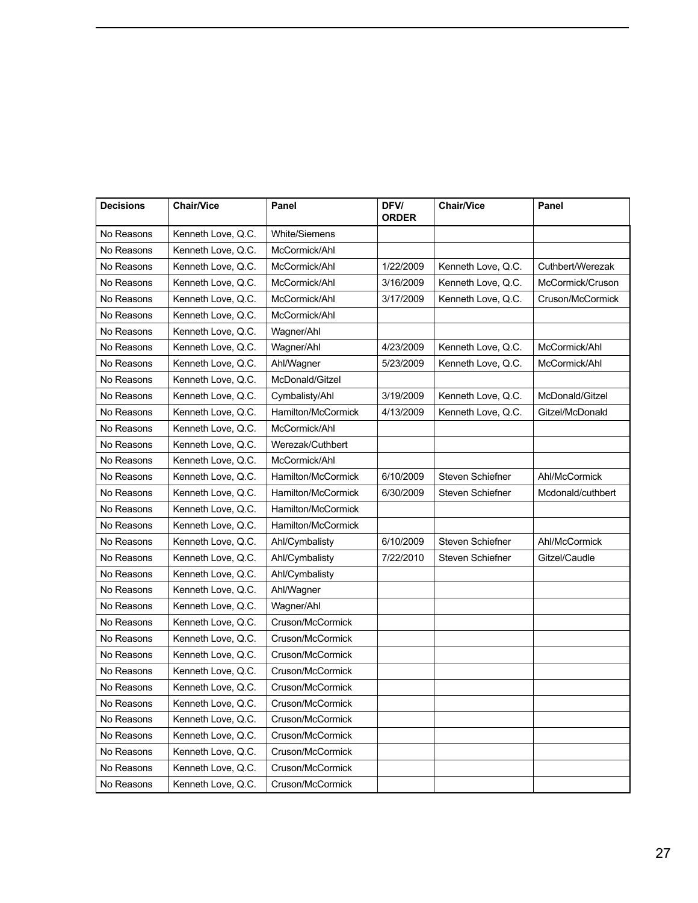| <b>Decisions</b> | <b>Chair/Vice</b>  | Panel                | <b>DFV/</b><br><b>ORDER</b> | <b>Chair/Vice</b>  | Panel             |
|------------------|--------------------|----------------------|-----------------------------|--------------------|-------------------|
| No Reasons       | Kenneth Love, Q.C. | <b>White/Siemens</b> |                             |                    |                   |
| No Reasons       | Kenneth Love, Q.C. | McCormick/Ahl        |                             |                    |                   |
| No Reasons       | Kenneth Love, Q.C. | McCormick/Ahl        | 1/22/2009                   | Kenneth Love, Q.C. | Cuthbert/Werezak  |
| No Reasons       | Kenneth Love, Q.C. | McCormick/Ahl        | 3/16/2009                   | Kenneth Love, Q.C. | McCormick/Cruson  |
| No Reasons       | Kenneth Love, Q.C. | McCormick/Ahl        | 3/17/2009                   | Kenneth Love, Q.C. | Cruson/McCormick  |
| No Reasons       | Kenneth Love, Q.C. | McCormick/Ahl        |                             |                    |                   |
| No Reasons       | Kenneth Love, Q.C. | Wagner/Ahl           |                             |                    |                   |
| No Reasons       | Kenneth Love, Q.C. | Wagner/Ahl           | 4/23/2009                   | Kenneth Love, Q.C. | McCormick/Ahl     |
| No Reasons       | Kenneth Love, Q.C. | Ahl/Wagner           | 5/23/2009                   | Kenneth Love, Q.C. | McCormick/Ahl     |
| No Reasons       | Kenneth Love, Q.C. | McDonald/Gitzel      |                             |                    |                   |
| No Reasons       | Kenneth Love, Q.C. | Cymbalisty/Ahl       | 3/19/2009                   | Kenneth Love, Q.C. | McDonald/Gitzel   |
| No Reasons       | Kenneth Love, Q.C. | Hamilton/McCormick   | 4/13/2009                   | Kenneth Love, Q.C. | Gitzel/McDonald   |
| No Reasons       | Kenneth Love, Q.C. | McCormick/Ahl        |                             |                    |                   |
| No Reasons       | Kenneth Love, Q.C. | Werezak/Cuthbert     |                             |                    |                   |
| No Reasons       | Kenneth Love, Q.C. | McCormick/Ahl        |                             |                    |                   |
| No Reasons       | Kenneth Love, Q.C. | Hamilton/McCormick   | 6/10/2009                   | Steven Schiefner   | Ahl/McCormick     |
| No Reasons       | Kenneth Love, Q.C. | Hamilton/McCormick   | 6/30/2009                   | Steven Schiefner   | Mcdonald/cuthbert |
| No Reasons       | Kenneth Love, Q.C. | Hamilton/McCormick   |                             |                    |                   |
| No Reasons       | Kenneth Love, Q.C. | Hamilton/McCormick   |                             |                    |                   |
| No Reasons       | Kenneth Love, Q.C. | Ahl/Cymbalisty       | 6/10/2009                   | Steven Schiefner   | Ahl/McCormick     |
| No Reasons       | Kenneth Love, Q.C. | Ahl/Cymbalisty       | 7/22/2010                   | Steven Schiefner   | Gitzel/Caudle     |
| No Reasons       | Kenneth Love, Q.C. | Ahl/Cymbalisty       |                             |                    |                   |
| No Reasons       | Kenneth Love, Q.C. | Ahl/Wagner           |                             |                    |                   |
| No Reasons       | Kenneth Love, Q.C. | Wagner/Ahl           |                             |                    |                   |
| No Reasons       | Kenneth Love, Q.C. | Cruson/McCormick     |                             |                    |                   |
| No Reasons       | Kenneth Love, Q.C. | Cruson/McCormick     |                             |                    |                   |
| No Reasons       | Kenneth Love, Q.C. | Cruson/McCormick     |                             |                    |                   |
| No Reasons       | Kenneth Love, Q.C. | Cruson/McCormick     |                             |                    |                   |
| No Reasons       | Kenneth Love, Q.C. | Cruson/McCormick     |                             |                    |                   |
| No Reasons       | Kenneth Love, Q.C. | Cruson/McCormick     |                             |                    |                   |
| No Reasons       | Kenneth Love, Q.C. | Cruson/McCormick     |                             |                    |                   |
| No Reasons       | Kenneth Love, Q.C. | Cruson/McCormick     |                             |                    |                   |
| No Reasons       | Kenneth Love, Q.C. | Cruson/McCormick     |                             |                    |                   |
| No Reasons       | Kenneth Love, Q.C. | Cruson/McCormick     |                             |                    |                   |
| No Reasons       | Kenneth Love, Q.C. | Cruson/McCormick     |                             |                    |                   |
|                  |                    |                      |                             |                    |                   |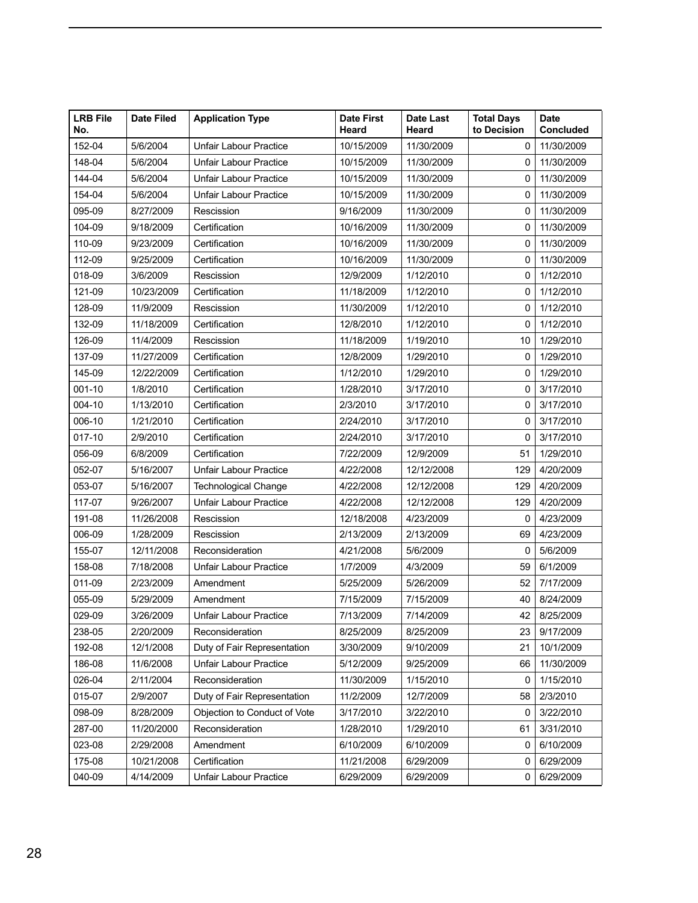| <b>LRB File</b><br>No. | <b>Date Filed</b> | <b>Application Type</b>       | <b>Date First</b><br>Heard | Date Last<br>Heard | <b>Total Days</b><br>to Decision | <b>Date</b><br><b>Concluded</b> |
|------------------------|-------------------|-------------------------------|----------------------------|--------------------|----------------------------------|---------------------------------|
| 152-04                 | 5/6/2004          | <b>Unfair Labour Practice</b> | 10/15/2009                 | 11/30/2009         |                                  | $0$   11/30/2009                |
| 148-04                 | 5/6/2004          | <b>Unfair Labour Practice</b> | 10/15/2009                 | 11/30/2009         |                                  | $0$   11/30/2009                |
| 144-04                 | 5/6/2004          | Unfair Labour Practice        | 10/15/2009                 | 11/30/2009         |                                  | $0$   11/30/2009                |
| 154-04                 | 5/6/2004          | Unfair Labour Practice        | 10/15/2009                 | 11/30/2009         |                                  | $0$   11/30/2009                |
| 095-09                 | 8/27/2009         | Rescission                    | 9/16/2009                  | 11/30/2009         |                                  | $0$   11/30/2009                |
| 104-09                 | 9/18/2009         | Certification                 | 10/16/2009                 | 11/30/2009         |                                  | $0$   11/30/2009                |
| 110-09                 | 9/23/2009         | Certification                 | 10/16/2009                 | 11/30/2009         |                                  | $0$   11/30/2009                |
| 112-09                 | 9/25/2009         | Certification                 | 10/16/2009                 | 11/30/2009         |                                  | $0$   11/30/2009                |
| 018-09                 | 3/6/2009          | Rescission                    | 12/9/2009                  | 1/12/2010          |                                  | $0$ 1/12/2010                   |
| 121-09                 | 10/23/2009        | Certification                 | 11/18/2009                 | 1/12/2010          |                                  | $0$   1/12/2010                 |
| 128-09                 | 11/9/2009         | Rescission                    | 11/30/2009                 | 1/12/2010          |                                  | $0$   1/12/2010                 |
| 132-09                 | 11/18/2009        | Certification                 | 12/8/2010                  | 1/12/2010          |                                  | $0$ 1/12/2010                   |
| 126-09                 | 11/4/2009         | Rescission                    | 11/18/2009                 | 1/19/2010          |                                  | 10 1/29/2010                    |
| 137-09                 | 11/27/2009        | Certification                 | 12/8/2009                  | 1/29/2010          |                                  | 0   1/29/2010                   |
| 145-09                 | 12/22/2009        | Certification                 | 1/12/2010                  | 1/29/2010          | 0 <sup>1</sup>                   | 1/29/2010                       |
| $001-10$               | 1/8/2010          | Certification                 | 1/28/2010                  | 3/17/2010          |                                  | 0   3/17/2010                   |
| $ 004 - 10$            | 1/13/2010         | Certification                 | 2/3/2010                   | 3/17/2010          |                                  | 0   3/17/2010                   |
| $ 006-10$              | 1/21/2010         | Certification                 | 2/24/2010                  | 3/17/2010          |                                  | 0   3/17/2010                   |
| 017-10                 | 2/9/2010          | Certification                 | 2/24/2010                  | 3/17/2010          |                                  | 0   3/17/2010                   |
| $ 056-09$              | 6/8/2009          | Certification                 | 7/22/2009                  | 12/9/2009          |                                  | 51 1/29/2010                    |
| 052-07                 | 5/16/2007         | Unfair Labour Practice        | 4/22/2008                  | 12/12/2008         |                                  | 129 4/20/2009                   |
|                        | 5/16/2007         |                               | 4/22/2008                  | 12/12/2008         |                                  | 129 4/20/2009                   |
| $ 053-07$              |                   | Technological Change          |                            |                    |                                  |                                 |
| 117-07                 | 9/26/2007         | Unfair Labour Practice        | 4/22/2008                  | 12/12/2008         |                                  | 129 4/20/2009                   |
| 191-08                 | 11/26/2008        | Rescission                    | 12/18/2008                 | 4/23/2009          | $^{\circ}$                       | 4/23/2009                       |
| 006-09                 | 1/28/2009         | Rescission                    | 2/13/2009                  | 2/13/2009          |                                  | 69 4/23/2009                    |
| 155-07                 | 12/11/2008        | Reconsideration               | 4/21/2008                  | 5/6/2009           | 0                                | 5/6/2009                        |
| 158-08                 | 7/18/2008         | Unfair Labour Practice        | 1/7/2009                   | 4/3/2009           |                                  | 59 6/1/2009                     |
| $ 011-09$              | 2/23/2009         | Amendment                     | 5/25/2009                  | 5/26/2009          |                                  | 52 7/17/2009                    |
| 055-09                 | 5/29/2009         | Amendment                     | 7/15/2009                  | 7/15/2009          |                                  | 40 8/24/2009                    |
| 029-09                 | 3/26/2009         | Unfair Labour Practice        | 7/13/2009                  | 7/14/2009          |                                  | 42 8/25/2009                    |
| 238-05                 | 2/20/2009         | Reconsideration               | 8/25/2009                  | 8/25/2009          |                                  | 23 9/17/2009                    |
| 192-08                 | 12/1/2008         | Duty of Fair Representation   | 3/30/2009                  | 9/10/2009          |                                  | 21 10/1/2009                    |
| 186-08                 | 11/6/2008         | Unfair Labour Practice        | 5/12/2009                  | 9/25/2009          |                                  | 66 11/30/2009                   |
| 026-04                 | 2/11/2004         | Reconsideration               | 11/30/2009                 | 1/15/2010          |                                  | $0$   1/15/2010                 |
| 015-07                 | 2/9/2007          | Duty of Fair Representation   | 11/2/2009                  | 12/7/2009          |                                  | 58 2/3/2010                     |
| 098-09                 | 8/28/2009         | Objection to Conduct of Vote  | 3/17/2010                  | 3/22/2010          |                                  | 0   3/22/2010                   |
| 287-00                 | 11/20/2000        | Reconsideration               | 1/28/2010                  | 1/29/2010          |                                  | 61 3/31/2010                    |
| 023-08                 | 2/29/2008         | Amendment                     | 6/10/2009                  | 6/10/2009          |                                  | 0   6/10/2009                   |
| 175-08                 | 10/21/2008        | Certification                 | 11/21/2008                 | 6/29/2009          |                                  | 0   6/29/2009                   |
| $ 040-09$              | 4/14/2009         | <b>Unfair Labour Practice</b> | 6/29/2009                  | 6/29/2009          |                                  | 0   6/29/2009                   |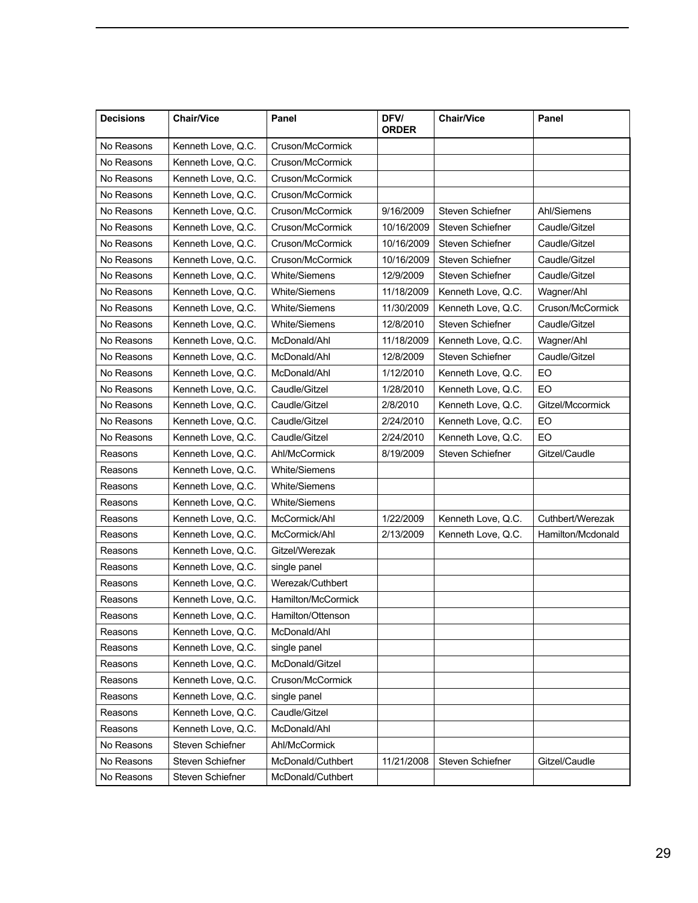| <b>Decisions</b> | <b>Chair/Vice</b>  | Panel                | DFV/<br><b>ORDER</b> | <b>Chair/Vice</b>             | Panel             |
|------------------|--------------------|----------------------|----------------------|-------------------------------|-------------------|
| No Reasons       | Kenneth Love, Q.C. | Cruson/McCormick     |                      |                               |                   |
| No Reasons       | Kenneth Love, Q.C. | Cruson/McCormick     |                      |                               |                   |
| No Reasons       | Kenneth Love, Q.C. | Cruson/McCormick     |                      |                               |                   |
| No Reasons       | Kenneth Love, Q.C. | Cruson/McCormick     |                      |                               |                   |
| No Reasons       | Kenneth Love, Q.C. | Cruson/McCormick     | 9/16/2009            | Steven Schiefner              | Ahl/Siemens       |
| No Reasons       | Kenneth Love, Q.C. | Cruson/McCormick     | 10/16/2009           | Steven Schiefner              | Caudle/Gitzel     |
| No Reasons       | Kenneth Love, Q.C. | Cruson/McCormick     | 10/16/2009           | Steven Schiefner              | Caudle/Gitzel     |
| No Reasons       | Kenneth Love, Q.C. | Cruson/McCormick     | 10/16/2009           | Steven Schiefner              | Caudle/Gitzel     |
| No Reasons       | Kenneth Love, Q.C. | White/Siemens        | 12/9/2009            | Steven Schiefner              | Caudle/Gitzel     |
| No Reasons       | Kenneth Love, Q.C. | <b>White/Siemens</b> | 11/18/2009           | Kenneth Love, Q.C.            | Wagner/Ahl        |
| No Reasons       | Kenneth Love, Q.C. | White/Siemens        | 11/30/2009           | Kenneth Love, Q.C.            | Cruson/McCormick  |
| No Reasons       | Kenneth Love, Q.C. | <b>White/Siemens</b> | 12/8/2010            | Steven Schiefner              | Caudle/Gitzel     |
| No Reasons       | Kenneth Love, Q.C. | McDonald/Ahl         | 11/18/2009           | Kenneth Love, Q.C.            | Wagner/Ahl        |
| No Reasons       | Kenneth Love, Q.C. | McDonald/Ahl         | 12/8/2009            | Steven Schiefner              | Caudle/Gitzel     |
| No Reasons       | Kenneth Love, Q.C. | McDonald/Ahl         | 1/12/2010            | Kenneth Love, Q.C.            | EO                |
| No Reasons       | Kenneth Love, Q.C. | Caudle/Gitzel        | 1/28/2010            | Kenneth Love, Q.C.            | EO                |
| No Reasons       | Kenneth Love, Q.C. | Caudle/Gitzel        | 2/8/2010             | Kenneth Love, Q.C.            | Gitzel/Mccormick  |
| No Reasons       | Kenneth Love, Q.C. | Caudle/Gitzel        | 2/24/2010            | Kenneth Love, Q.C.            | EO                |
| No Reasons       | Kenneth Love, Q.C. | Caudle/Gitzel        | 2/24/2010            | Kenneth Love, Q.C.            | EO                |
| Reasons          | Kenneth Love, Q.C. | Ahl/McCormick        | 8/19/2009            | Steven Schiefner              | Gitzel/Caudle     |
| Reasons          | Kenneth Love, Q.C. | <b>White/Siemens</b> |                      |                               |                   |
| Reasons          | Kenneth Love, Q.C. | White/Siemens        |                      |                               |                   |
| Reasons          | Kenneth Love, Q.C. | <b>White/Siemens</b> |                      |                               |                   |
| Reasons          | Kenneth Love, Q.C. | McCormick/Ahl        | 1/22/2009            | Kenneth Love, Q.C.            | Cuthbert/Werezak  |
| Reasons          | Kenneth Love, Q.C. | McCormick/Ahl        | 2/13/2009            | Kenneth Love, Q.C.            | Hamilton/Mcdonald |
| Reasons          | Kenneth Love, Q.C. | Gitzel/Werezak       |                      |                               |                   |
| Reasons          | Kenneth Love, Q.C. | single panel         |                      |                               |                   |
| Reasons          | Kenneth Love, Q.C. | Werezak/Cuthbert     |                      |                               |                   |
| Reasons          | Kenneth Love, Q.C. | Hamilton/McCormick   |                      |                               |                   |
| Reasons          | Kenneth Love, Q.C. | Hamilton/Ottenson    |                      |                               |                   |
| Reasons          | Kenneth Love, Q.C. | McDonald/Ahl         |                      |                               |                   |
| Reasons          | Kenneth Love, Q.C. | single panel         |                      |                               |                   |
| Reasons          | Kenneth Love, Q.C. | McDonald/Gitzel      |                      |                               |                   |
| Reasons          | Kenneth Love, Q.C. | Cruson/McCormick     |                      |                               |                   |
| Reasons          | Kenneth Love, Q.C. | single panel         |                      |                               |                   |
| Reasons          | Kenneth Love, Q.C. | Caudle/Gitzel        |                      |                               |                   |
| Reasons          | Kenneth Love, Q.C. | McDonald/Ahl         |                      |                               |                   |
| No Reasons       | Steven Schiefner   | Ahl/McCormick        |                      |                               |                   |
| No Reasons       | Steven Schiefner   | McDonald/Cuthbert    |                      | 11/21/2008   Steven Schiefner | Gitzel/Caudle     |
| No Reasons       | Steven Schiefner   | McDonald/Cuthbert    |                      |                               |                   |
|                  |                    |                      |                      |                               |                   |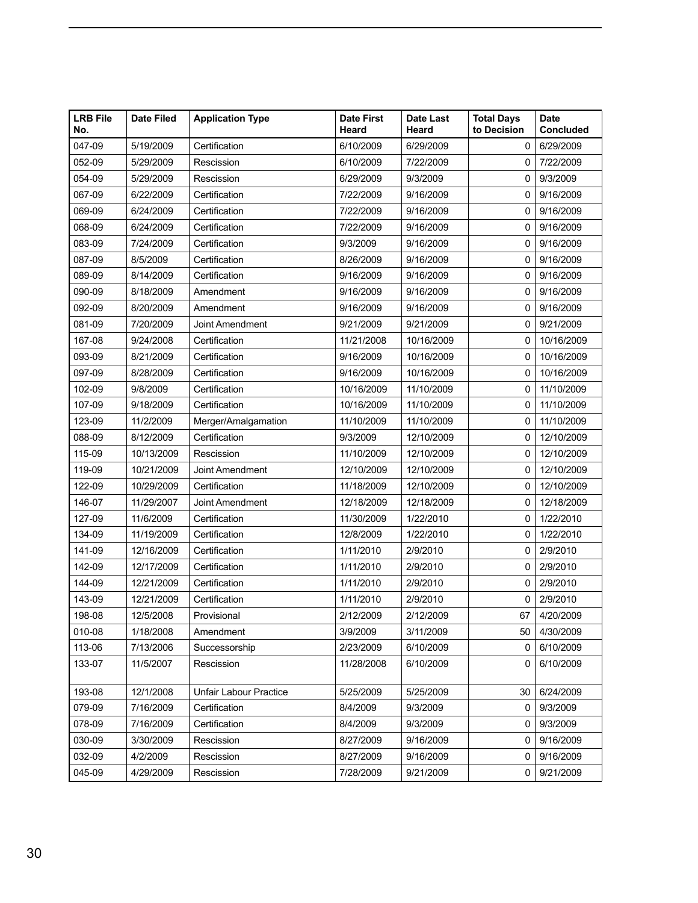| <b>LRB File</b><br>No. | <b>Date Filed</b> | <b>Application Type</b>       | <b>Date First</b><br>Heard | Date Last<br>Heard | <b>Total Days</b><br>to Decision | <b>Date</b><br>Concluded |
|------------------------|-------------------|-------------------------------|----------------------------|--------------------|----------------------------------|--------------------------|
| 047-09                 | 5/19/2009         | Certification                 | 6/10/2009                  | 6/29/2009          |                                  | 0   6/29/2009            |
| 052-09                 | 5/29/2009         | Rescission                    | 6/10/2009                  | 7/22/2009          |                                  | $0$   $7/22/2009$        |
| 054-09                 | 5/29/2009         | Rescission                    | 6/29/2009                  | 9/3/2009           |                                  | 0   9/3/2009             |
| 067-09                 | 6/22/2009         | Certification                 | 7/22/2009                  | 9/16/2009          |                                  | 0   9/16/2009            |
| $ 069-09$              | 6/24/2009         | Certification                 | 7/22/2009                  | 9/16/2009          |                                  | 0   9/16/2009            |
| 068-09                 | 6/24/2009         | Certification                 | 7/22/2009                  | 9/16/2009          |                                  | 0   9/16/2009            |
| 083-09                 | 7/24/2009         | Certification                 | 9/3/2009                   | 9/16/2009          |                                  | 0   9/16/2009            |
| 087-09                 | 8/5/2009          | Certification                 | 8/26/2009                  | 9/16/2009          |                                  | 0   9/16/2009            |
| 089-09                 | 8/14/2009         | Certification                 | 9/16/2009                  | 9/16/2009          |                                  | 0   9/16/2009            |
| 090-09                 | 8/18/2009         | Amendment                     | 9/16/2009                  | 9/16/2009          |                                  | 0   9/16/2009            |
| 092-09                 | 8/20/2009         | Amendment                     | 9/16/2009                  | 9/16/2009          |                                  | 0   9/16/2009            |
| 081-09                 | 7/20/2009         | Joint Amendment               | 9/21/2009                  | 9/21/2009          | 0 <sup>1</sup>                   | 9/21/2009                |
| 167-08                 | 9/24/2008         | Certification                 | 11/21/2008                 | 10/16/2009         |                                  | 0   10/16/2009           |
| 093-09                 | 8/21/2009         | Certification                 | 9/16/2009                  | 10/16/2009         |                                  | 0   10/16/2009           |
| 097-09                 | 8/28/2009         | Certification                 | 9/16/2009                  | 10/16/2009         |                                  | 0   10/16/2009           |
| 102-09                 | 9/8/2009          | Certification                 | 10/16/2009                 | 11/10/2009         |                                  | $0$   11/10/2009         |
| 107-09                 | 9/18/2009         | Certification                 | 10/16/2009                 | 11/10/2009         |                                  | $0$   11/10/2009         |
| 123-09                 | 11/2/2009         | Merger/Amalgamation           | 11/10/2009                 | 11/10/2009         |                                  | $0$   11/10/2009         |
| 088-09                 | 8/12/2009         | Certification                 | 9/3/2009                   | 12/10/2009         |                                  | $0$   12/10/2009         |
| 115-09                 | 10/13/2009        | Rescission                    | 11/10/2009                 | 12/10/2009         |                                  | 0   12/10/2009           |
| 119-09                 | 10/21/2009        | Joint Amendment               | 12/10/2009                 | 12/10/2009         |                                  | 0   12/10/2009           |
| 122-09                 | 10/29/2009        | Certification                 | 11/18/2009                 | 12/10/2009         | 0 <sup>1</sup>                   | 12/10/2009               |
| 146-07                 | 11/29/2007        | Joint Amendment               | 12/18/2009                 | 12/18/2009         | 0 <sup>1</sup>                   | 12/18/2009               |
| 127-09                 | 11/6/2009         | Certification                 | 11/30/2009                 | 1/22/2010          |                                  | 0   1/22/2010            |
| 134-09                 | 11/19/2009        | Certification                 | 12/8/2009                  | 1/22/2010          |                                  | 0   1/22/2010            |
| 141-09                 | 12/16/2009        | Certification                 | 1/11/2010                  | 2/9/2010           | 0                                | 2/9/2010                 |
| 142-09                 | 12/17/2009        | Certification                 | 1/11/2010                  | 2/9/2010           |                                  | 0   2/9/2010             |
| 144-09                 | 12/21/2009        | Certification                 | 1/11/2010                  | 2/9/2010           |                                  | 0   2/9/2010             |
| 143-09                 | 12/21/2009        | Certification                 | 1/11/2010                  | 2/9/2010           | 0 <sup>1</sup>                   | 2/9/2010                 |
| 198-08                 | 12/5/2008         | Provisional                   | 2/12/2009                  | 2/12/2009          |                                  | 67 4/20/2009             |
| 010-08                 | 1/18/2008         | Amendment                     | 3/9/2009                   | 3/11/2009          |                                  | 50 4/30/2009             |
| 113-06                 | 7/13/2006         | Successorship                 | 2/23/2009                  | 6/10/2009          |                                  | 0   6/10/2009            |
| 133-07                 | 11/5/2007         | Rescission                    | 11/28/2008                 | 6/10/2009          |                                  | 0   6/10/2009            |
|                        |                   |                               |                            |                    |                                  |                          |
| 193-08                 | 12/1/2008         | <b>Unfair Labour Practice</b> | 5/25/2009                  | 5/25/2009          |                                  | 30   6/24/2009           |
| 079-09                 | 7/16/2009         | Certification                 | 8/4/2009                   | 9/3/2009           |                                  | 0   9/3/2009             |
| 078-09                 | 7/16/2009         | Certification                 | 8/4/2009                   | 9/3/2009           |                                  | 0   9/3/2009             |
| 030-09                 | 3/30/2009         | Rescission                    | 8/27/2009                  | 9/16/2009          |                                  | 0   9/16/2009            |
| 032-09                 | 4/2/2009          | Rescission                    | 8/27/2009                  | 9/16/2009          |                                  | 0   9/16/2009            |
| 045-09                 | 4/29/2009         | Rescission                    | 7/28/2009                  | 9/21/2009          |                                  | 0   9/21/2009            |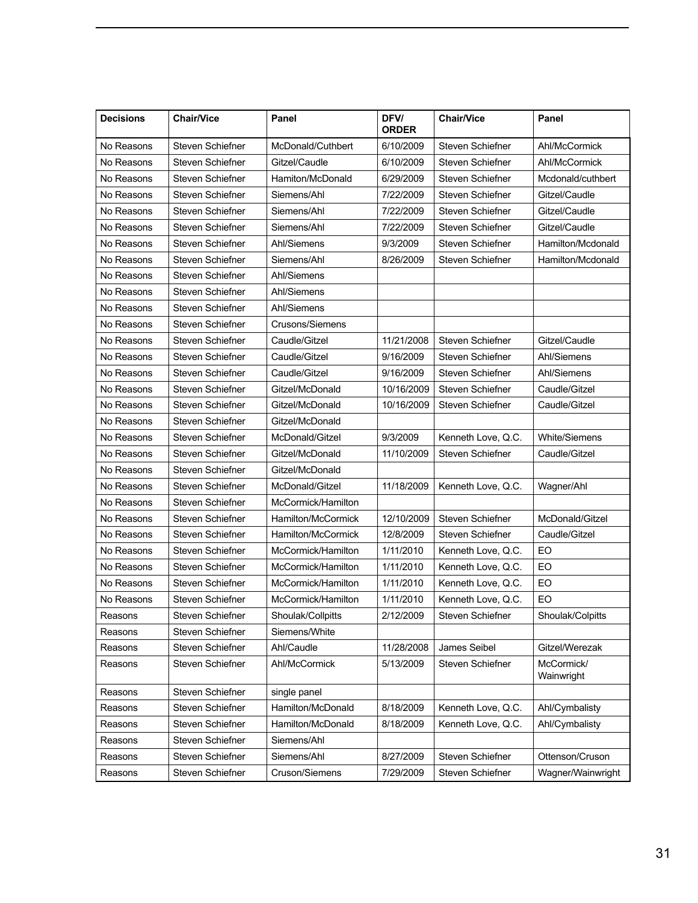| 6/10/2009<br>Steven Schiefner<br>Ahl/McCormick<br>No Reasons<br>Steven Schiefner<br>McDonald/Cuthbert<br>Steven Schiefner<br>No Reasons<br>Steven Schiefner<br>6/10/2009<br>Ahl/McCormick<br>Gitzel/Caudle<br>Steven Schiefner<br>6/29/2009<br>Steven Schiefner<br>No Reasons<br>Hamiton/McDonald<br>7/22/2009<br>Steven Schiefner<br>No Reasons<br>Steven Schiefner<br>Gitzel/Caudle<br>Siemens/Ahl<br>Steven Schiefner<br>No Reasons<br>Steven Schiefner<br>7/22/2009<br>Gitzel/Caudle<br>Siemens/Ahl<br>7/22/2009<br>Steven Schiefner<br>Gitzel/Caudle<br>No Reasons<br>Steven Schiefner<br>Siemens/Ahl<br>9/3/2009<br>No Reasons<br>Steven Schiefner<br>Steven Schiefner<br>Ahl/Siemens<br>No Reasons<br>Steven Schiefner<br>8/26/2009<br>Steven Schiefner<br>Siemens/Ahl<br>No Reasons<br>Steven Schiefner<br>Ahl/Siemens<br>No Reasons<br>Steven Schiefner<br>Ahl/Siemens<br>No Reasons<br>Steven Schiefner<br>Ahl/Siemens<br>No Reasons<br>Steven Schiefner<br>Crusons/Siemens<br>11/21/2008<br>Steven Schiefner<br>Gitzel/Caudle<br>No Reasons<br>Steven Schiefner<br>Caudle/Gitzel<br>No Reasons<br>Steven Schiefner<br>Steven Schiefner<br>Caudle/Gitzel<br>9/16/2009<br>Ahl/Siemens<br>No Reasons<br>Steven Schiefner<br>Caudle/Gitzel<br>9/16/2009<br>Steven Schiefner<br>Ahl/Siemens<br>No Reasons<br>Steven Schiefner<br>Gitzel/McDonald<br>10/16/2009<br>Steven Schiefner<br>Caudle/Gitzel<br>Steven Schiefner<br>No Reasons<br>Steven Schiefner<br>Gitzel/McDonald<br>10/16/2009<br>Caudle/Gitzel<br>No Reasons<br>Steven Schiefner<br>Gitzel/McDonald<br>No Reasons<br>Steven Schiefner<br>McDonald/Gitzel<br>9/3/2009<br>Kenneth Love, Q.C.<br><b>White/Siemens</b><br>Steven Schiefner<br>No Reasons<br>Gitzel/McDonald<br>11/10/2009   Steven Schiefner<br>Caudle/Gitzel<br>No Reasons<br>Steven Schiefner<br>Gitzel/McDonald<br>No Reasons<br>Steven Schiefner<br>McDonald/Gitzel<br>11/18/2009   Kenneth Love, Q.C.<br>Wagner/Ahl<br>No Reasons<br>Steven Schiefner<br>McCormick/Hamilton<br>McDonald/Gitzel<br>No Reasons<br>Steven Schiefner<br>12/10/2009<br>Steven Schiefner<br>Hamilton/McCormick<br>Steven Schiefner<br>Steven Schiefner<br>No Reasons<br>Hamilton/McCormick<br>12/8/2009<br>Caudle/Gitzel<br>EO<br>No Reasons<br>Steven Schiefner<br>1/11/2010<br>Kenneth Love, Q.C.<br>McCormick/Hamilton<br>EO<br>No Reasons<br>Steven Schiefner<br>1/11/2010<br>Kenneth Love, Q.C.<br>McCormick/Hamilton<br>EO<br>No Reasons<br>Steven Schiefner<br>McCormick/Hamilton<br>1/11/2010<br>Kenneth Love, Q.C.<br>EO<br>No Reasons<br>Steven Schiefner<br>1/11/2010<br>McCormick/Hamilton<br>Kenneth Love, Q.C.<br>2/12/2009<br><b>Steven Schiefner</b><br>Shoulak/Colpitts<br>Reasons<br>Steven Schiefner<br>Shoulak/Collpitts<br>Steven Schiefner<br>Siemens/White<br>Reasons<br>James Seibel<br>Gitzel/Werezak<br>Steven Schiefner<br>11/28/2008<br>Ahl/Caudle<br>Reasons<br>Steven Schiefner<br>Ahl/McCormick<br>5/13/2009<br>Steven Schiefner<br>McCormick/<br>Reasons<br>Wainwright<br>Steven Schiefner<br>single panel<br>Reasons<br>Ahl/Cymbalisty<br>Steven Schiefner<br>Hamilton/McDonald<br>8/18/2009<br>Kenneth Love, Q.C.<br>Reasons<br>Steven Schiefner<br>8/18/2009<br>Ahl/Cymbalisty<br>Hamilton/McDonald<br>Kenneth Love, Q.C.<br>Reasons<br>Steven Schiefner<br>Reasons<br>Siemens/Ahl<br>Steven Schiefner<br>Ottenson/Cruson<br>Steven Schiefner<br>8/27/2009<br>Siemens/Ahl<br>Reasons<br>Wagner/Wainwright | <b>Decisions</b> | <b>Chair/Vice</b> | Panel          | <b>DFV/</b><br><b>ORDER</b> | <b>Chair/Vice</b> | Panel             |
|------------------------------------------------------------------------------------------------------------------------------------------------------------------------------------------------------------------------------------------------------------------------------------------------------------------------------------------------------------------------------------------------------------------------------------------------------------------------------------------------------------------------------------------------------------------------------------------------------------------------------------------------------------------------------------------------------------------------------------------------------------------------------------------------------------------------------------------------------------------------------------------------------------------------------------------------------------------------------------------------------------------------------------------------------------------------------------------------------------------------------------------------------------------------------------------------------------------------------------------------------------------------------------------------------------------------------------------------------------------------------------------------------------------------------------------------------------------------------------------------------------------------------------------------------------------------------------------------------------------------------------------------------------------------------------------------------------------------------------------------------------------------------------------------------------------------------------------------------------------------------------------------------------------------------------------------------------------------------------------------------------------------------------------------------------------------------------------------------------------------------------------------------------------------------------------------------------------------------------------------------------------------------------------------------------------------------------------------------------------------------------------------------------------------------------------------------------------------------------------------------------------------------------------------------------------------------------------------------------------------------------------------------------------------------------------------------------------------------------------------------------------------------------------------------------------------------------------------------------------------------------------------------------------------------------------------------------------------------------------------------------------------------------------------------------------------------------------------------------------------------------------------------------------------------------------------------------------------------------------------------------------------------------------------------------------------------------------------------------------------------------------------------------------------------------------------------------|------------------|-------------------|----------------|-----------------------------|-------------------|-------------------|
|                                                                                                                                                                                                                                                                                                                                                                                                                                                                                                                                                                                                                                                                                                                                                                                                                                                                                                                                                                                                                                                                                                                                                                                                                                                                                                                                                                                                                                                                                                                                                                                                                                                                                                                                                                                                                                                                                                                                                                                                                                                                                                                                                                                                                                                                                                                                                                                                                                                                                                                                                                                                                                                                                                                                                                                                                                                                                                                                                                                                                                                                                                                                                                                                                                                                                                                                                                                                                                                            |                  |                   |                |                             |                   |                   |
|                                                                                                                                                                                                                                                                                                                                                                                                                                                                                                                                                                                                                                                                                                                                                                                                                                                                                                                                                                                                                                                                                                                                                                                                                                                                                                                                                                                                                                                                                                                                                                                                                                                                                                                                                                                                                                                                                                                                                                                                                                                                                                                                                                                                                                                                                                                                                                                                                                                                                                                                                                                                                                                                                                                                                                                                                                                                                                                                                                                                                                                                                                                                                                                                                                                                                                                                                                                                                                                            |                  |                   |                |                             |                   |                   |
|                                                                                                                                                                                                                                                                                                                                                                                                                                                                                                                                                                                                                                                                                                                                                                                                                                                                                                                                                                                                                                                                                                                                                                                                                                                                                                                                                                                                                                                                                                                                                                                                                                                                                                                                                                                                                                                                                                                                                                                                                                                                                                                                                                                                                                                                                                                                                                                                                                                                                                                                                                                                                                                                                                                                                                                                                                                                                                                                                                                                                                                                                                                                                                                                                                                                                                                                                                                                                                                            |                  |                   |                |                             |                   | Mcdonald/cuthbert |
|                                                                                                                                                                                                                                                                                                                                                                                                                                                                                                                                                                                                                                                                                                                                                                                                                                                                                                                                                                                                                                                                                                                                                                                                                                                                                                                                                                                                                                                                                                                                                                                                                                                                                                                                                                                                                                                                                                                                                                                                                                                                                                                                                                                                                                                                                                                                                                                                                                                                                                                                                                                                                                                                                                                                                                                                                                                                                                                                                                                                                                                                                                                                                                                                                                                                                                                                                                                                                                                            |                  |                   |                |                             |                   |                   |
|                                                                                                                                                                                                                                                                                                                                                                                                                                                                                                                                                                                                                                                                                                                                                                                                                                                                                                                                                                                                                                                                                                                                                                                                                                                                                                                                                                                                                                                                                                                                                                                                                                                                                                                                                                                                                                                                                                                                                                                                                                                                                                                                                                                                                                                                                                                                                                                                                                                                                                                                                                                                                                                                                                                                                                                                                                                                                                                                                                                                                                                                                                                                                                                                                                                                                                                                                                                                                                                            |                  |                   |                |                             |                   |                   |
|                                                                                                                                                                                                                                                                                                                                                                                                                                                                                                                                                                                                                                                                                                                                                                                                                                                                                                                                                                                                                                                                                                                                                                                                                                                                                                                                                                                                                                                                                                                                                                                                                                                                                                                                                                                                                                                                                                                                                                                                                                                                                                                                                                                                                                                                                                                                                                                                                                                                                                                                                                                                                                                                                                                                                                                                                                                                                                                                                                                                                                                                                                                                                                                                                                                                                                                                                                                                                                                            |                  |                   |                |                             |                   |                   |
|                                                                                                                                                                                                                                                                                                                                                                                                                                                                                                                                                                                                                                                                                                                                                                                                                                                                                                                                                                                                                                                                                                                                                                                                                                                                                                                                                                                                                                                                                                                                                                                                                                                                                                                                                                                                                                                                                                                                                                                                                                                                                                                                                                                                                                                                                                                                                                                                                                                                                                                                                                                                                                                                                                                                                                                                                                                                                                                                                                                                                                                                                                                                                                                                                                                                                                                                                                                                                                                            |                  |                   |                |                             |                   | Hamilton/Mcdonald |
|                                                                                                                                                                                                                                                                                                                                                                                                                                                                                                                                                                                                                                                                                                                                                                                                                                                                                                                                                                                                                                                                                                                                                                                                                                                                                                                                                                                                                                                                                                                                                                                                                                                                                                                                                                                                                                                                                                                                                                                                                                                                                                                                                                                                                                                                                                                                                                                                                                                                                                                                                                                                                                                                                                                                                                                                                                                                                                                                                                                                                                                                                                                                                                                                                                                                                                                                                                                                                                                            |                  |                   |                |                             |                   | Hamilton/Mcdonald |
|                                                                                                                                                                                                                                                                                                                                                                                                                                                                                                                                                                                                                                                                                                                                                                                                                                                                                                                                                                                                                                                                                                                                                                                                                                                                                                                                                                                                                                                                                                                                                                                                                                                                                                                                                                                                                                                                                                                                                                                                                                                                                                                                                                                                                                                                                                                                                                                                                                                                                                                                                                                                                                                                                                                                                                                                                                                                                                                                                                                                                                                                                                                                                                                                                                                                                                                                                                                                                                                            |                  |                   |                |                             |                   |                   |
|                                                                                                                                                                                                                                                                                                                                                                                                                                                                                                                                                                                                                                                                                                                                                                                                                                                                                                                                                                                                                                                                                                                                                                                                                                                                                                                                                                                                                                                                                                                                                                                                                                                                                                                                                                                                                                                                                                                                                                                                                                                                                                                                                                                                                                                                                                                                                                                                                                                                                                                                                                                                                                                                                                                                                                                                                                                                                                                                                                                                                                                                                                                                                                                                                                                                                                                                                                                                                                                            |                  |                   |                |                             |                   |                   |
|                                                                                                                                                                                                                                                                                                                                                                                                                                                                                                                                                                                                                                                                                                                                                                                                                                                                                                                                                                                                                                                                                                                                                                                                                                                                                                                                                                                                                                                                                                                                                                                                                                                                                                                                                                                                                                                                                                                                                                                                                                                                                                                                                                                                                                                                                                                                                                                                                                                                                                                                                                                                                                                                                                                                                                                                                                                                                                                                                                                                                                                                                                                                                                                                                                                                                                                                                                                                                                                            |                  |                   |                |                             |                   |                   |
|                                                                                                                                                                                                                                                                                                                                                                                                                                                                                                                                                                                                                                                                                                                                                                                                                                                                                                                                                                                                                                                                                                                                                                                                                                                                                                                                                                                                                                                                                                                                                                                                                                                                                                                                                                                                                                                                                                                                                                                                                                                                                                                                                                                                                                                                                                                                                                                                                                                                                                                                                                                                                                                                                                                                                                                                                                                                                                                                                                                                                                                                                                                                                                                                                                                                                                                                                                                                                                                            |                  |                   |                |                             |                   |                   |
|                                                                                                                                                                                                                                                                                                                                                                                                                                                                                                                                                                                                                                                                                                                                                                                                                                                                                                                                                                                                                                                                                                                                                                                                                                                                                                                                                                                                                                                                                                                                                                                                                                                                                                                                                                                                                                                                                                                                                                                                                                                                                                                                                                                                                                                                                                                                                                                                                                                                                                                                                                                                                                                                                                                                                                                                                                                                                                                                                                                                                                                                                                                                                                                                                                                                                                                                                                                                                                                            |                  |                   |                |                             |                   |                   |
|                                                                                                                                                                                                                                                                                                                                                                                                                                                                                                                                                                                                                                                                                                                                                                                                                                                                                                                                                                                                                                                                                                                                                                                                                                                                                                                                                                                                                                                                                                                                                                                                                                                                                                                                                                                                                                                                                                                                                                                                                                                                                                                                                                                                                                                                                                                                                                                                                                                                                                                                                                                                                                                                                                                                                                                                                                                                                                                                                                                                                                                                                                                                                                                                                                                                                                                                                                                                                                                            |                  |                   |                |                             |                   |                   |
|                                                                                                                                                                                                                                                                                                                                                                                                                                                                                                                                                                                                                                                                                                                                                                                                                                                                                                                                                                                                                                                                                                                                                                                                                                                                                                                                                                                                                                                                                                                                                                                                                                                                                                                                                                                                                                                                                                                                                                                                                                                                                                                                                                                                                                                                                                                                                                                                                                                                                                                                                                                                                                                                                                                                                                                                                                                                                                                                                                                                                                                                                                                                                                                                                                                                                                                                                                                                                                                            |                  |                   |                |                             |                   |                   |
|                                                                                                                                                                                                                                                                                                                                                                                                                                                                                                                                                                                                                                                                                                                                                                                                                                                                                                                                                                                                                                                                                                                                                                                                                                                                                                                                                                                                                                                                                                                                                                                                                                                                                                                                                                                                                                                                                                                                                                                                                                                                                                                                                                                                                                                                                                                                                                                                                                                                                                                                                                                                                                                                                                                                                                                                                                                                                                                                                                                                                                                                                                                                                                                                                                                                                                                                                                                                                                                            |                  |                   |                |                             |                   |                   |
|                                                                                                                                                                                                                                                                                                                                                                                                                                                                                                                                                                                                                                                                                                                                                                                                                                                                                                                                                                                                                                                                                                                                                                                                                                                                                                                                                                                                                                                                                                                                                                                                                                                                                                                                                                                                                                                                                                                                                                                                                                                                                                                                                                                                                                                                                                                                                                                                                                                                                                                                                                                                                                                                                                                                                                                                                                                                                                                                                                                                                                                                                                                                                                                                                                                                                                                                                                                                                                                            |                  |                   |                |                             |                   |                   |
|                                                                                                                                                                                                                                                                                                                                                                                                                                                                                                                                                                                                                                                                                                                                                                                                                                                                                                                                                                                                                                                                                                                                                                                                                                                                                                                                                                                                                                                                                                                                                                                                                                                                                                                                                                                                                                                                                                                                                                                                                                                                                                                                                                                                                                                                                                                                                                                                                                                                                                                                                                                                                                                                                                                                                                                                                                                                                                                                                                                                                                                                                                                                                                                                                                                                                                                                                                                                                                                            |                  |                   |                |                             |                   |                   |
|                                                                                                                                                                                                                                                                                                                                                                                                                                                                                                                                                                                                                                                                                                                                                                                                                                                                                                                                                                                                                                                                                                                                                                                                                                                                                                                                                                                                                                                                                                                                                                                                                                                                                                                                                                                                                                                                                                                                                                                                                                                                                                                                                                                                                                                                                                                                                                                                                                                                                                                                                                                                                                                                                                                                                                                                                                                                                                                                                                                                                                                                                                                                                                                                                                                                                                                                                                                                                                                            |                  |                   |                |                             |                   |                   |
|                                                                                                                                                                                                                                                                                                                                                                                                                                                                                                                                                                                                                                                                                                                                                                                                                                                                                                                                                                                                                                                                                                                                                                                                                                                                                                                                                                                                                                                                                                                                                                                                                                                                                                                                                                                                                                                                                                                                                                                                                                                                                                                                                                                                                                                                                                                                                                                                                                                                                                                                                                                                                                                                                                                                                                                                                                                                                                                                                                                                                                                                                                                                                                                                                                                                                                                                                                                                                                                            |                  |                   |                |                             |                   |                   |
|                                                                                                                                                                                                                                                                                                                                                                                                                                                                                                                                                                                                                                                                                                                                                                                                                                                                                                                                                                                                                                                                                                                                                                                                                                                                                                                                                                                                                                                                                                                                                                                                                                                                                                                                                                                                                                                                                                                                                                                                                                                                                                                                                                                                                                                                                                                                                                                                                                                                                                                                                                                                                                                                                                                                                                                                                                                                                                                                                                                                                                                                                                                                                                                                                                                                                                                                                                                                                                                            |                  |                   |                |                             |                   |                   |
|                                                                                                                                                                                                                                                                                                                                                                                                                                                                                                                                                                                                                                                                                                                                                                                                                                                                                                                                                                                                                                                                                                                                                                                                                                                                                                                                                                                                                                                                                                                                                                                                                                                                                                                                                                                                                                                                                                                                                                                                                                                                                                                                                                                                                                                                                                                                                                                                                                                                                                                                                                                                                                                                                                                                                                                                                                                                                                                                                                                                                                                                                                                                                                                                                                                                                                                                                                                                                                                            |                  |                   |                |                             |                   |                   |
|                                                                                                                                                                                                                                                                                                                                                                                                                                                                                                                                                                                                                                                                                                                                                                                                                                                                                                                                                                                                                                                                                                                                                                                                                                                                                                                                                                                                                                                                                                                                                                                                                                                                                                                                                                                                                                                                                                                                                                                                                                                                                                                                                                                                                                                                                                                                                                                                                                                                                                                                                                                                                                                                                                                                                                                                                                                                                                                                                                                                                                                                                                                                                                                                                                                                                                                                                                                                                                                            |                  |                   |                |                             |                   |                   |
|                                                                                                                                                                                                                                                                                                                                                                                                                                                                                                                                                                                                                                                                                                                                                                                                                                                                                                                                                                                                                                                                                                                                                                                                                                                                                                                                                                                                                                                                                                                                                                                                                                                                                                                                                                                                                                                                                                                                                                                                                                                                                                                                                                                                                                                                                                                                                                                                                                                                                                                                                                                                                                                                                                                                                                                                                                                                                                                                                                                                                                                                                                                                                                                                                                                                                                                                                                                                                                                            |                  |                   |                |                             |                   |                   |
|                                                                                                                                                                                                                                                                                                                                                                                                                                                                                                                                                                                                                                                                                                                                                                                                                                                                                                                                                                                                                                                                                                                                                                                                                                                                                                                                                                                                                                                                                                                                                                                                                                                                                                                                                                                                                                                                                                                                                                                                                                                                                                                                                                                                                                                                                                                                                                                                                                                                                                                                                                                                                                                                                                                                                                                                                                                                                                                                                                                                                                                                                                                                                                                                                                                                                                                                                                                                                                                            |                  |                   |                |                             |                   |                   |
|                                                                                                                                                                                                                                                                                                                                                                                                                                                                                                                                                                                                                                                                                                                                                                                                                                                                                                                                                                                                                                                                                                                                                                                                                                                                                                                                                                                                                                                                                                                                                                                                                                                                                                                                                                                                                                                                                                                                                                                                                                                                                                                                                                                                                                                                                                                                                                                                                                                                                                                                                                                                                                                                                                                                                                                                                                                                                                                                                                                                                                                                                                                                                                                                                                                                                                                                                                                                                                                            |                  |                   |                |                             |                   |                   |
|                                                                                                                                                                                                                                                                                                                                                                                                                                                                                                                                                                                                                                                                                                                                                                                                                                                                                                                                                                                                                                                                                                                                                                                                                                                                                                                                                                                                                                                                                                                                                                                                                                                                                                                                                                                                                                                                                                                                                                                                                                                                                                                                                                                                                                                                                                                                                                                                                                                                                                                                                                                                                                                                                                                                                                                                                                                                                                                                                                                                                                                                                                                                                                                                                                                                                                                                                                                                                                                            |                  |                   |                |                             |                   |                   |
|                                                                                                                                                                                                                                                                                                                                                                                                                                                                                                                                                                                                                                                                                                                                                                                                                                                                                                                                                                                                                                                                                                                                                                                                                                                                                                                                                                                                                                                                                                                                                                                                                                                                                                                                                                                                                                                                                                                                                                                                                                                                                                                                                                                                                                                                                                                                                                                                                                                                                                                                                                                                                                                                                                                                                                                                                                                                                                                                                                                                                                                                                                                                                                                                                                                                                                                                                                                                                                                            |                  |                   |                |                             |                   |                   |
|                                                                                                                                                                                                                                                                                                                                                                                                                                                                                                                                                                                                                                                                                                                                                                                                                                                                                                                                                                                                                                                                                                                                                                                                                                                                                                                                                                                                                                                                                                                                                                                                                                                                                                                                                                                                                                                                                                                                                                                                                                                                                                                                                                                                                                                                                                                                                                                                                                                                                                                                                                                                                                                                                                                                                                                                                                                                                                                                                                                                                                                                                                                                                                                                                                                                                                                                                                                                                                                            |                  |                   |                |                             |                   |                   |
|                                                                                                                                                                                                                                                                                                                                                                                                                                                                                                                                                                                                                                                                                                                                                                                                                                                                                                                                                                                                                                                                                                                                                                                                                                                                                                                                                                                                                                                                                                                                                                                                                                                                                                                                                                                                                                                                                                                                                                                                                                                                                                                                                                                                                                                                                                                                                                                                                                                                                                                                                                                                                                                                                                                                                                                                                                                                                                                                                                                                                                                                                                                                                                                                                                                                                                                                                                                                                                                            |                  |                   |                |                             |                   |                   |
|                                                                                                                                                                                                                                                                                                                                                                                                                                                                                                                                                                                                                                                                                                                                                                                                                                                                                                                                                                                                                                                                                                                                                                                                                                                                                                                                                                                                                                                                                                                                                                                                                                                                                                                                                                                                                                                                                                                                                                                                                                                                                                                                                                                                                                                                                                                                                                                                                                                                                                                                                                                                                                                                                                                                                                                                                                                                                                                                                                                                                                                                                                                                                                                                                                                                                                                                                                                                                                                            |                  |                   |                |                             |                   |                   |
|                                                                                                                                                                                                                                                                                                                                                                                                                                                                                                                                                                                                                                                                                                                                                                                                                                                                                                                                                                                                                                                                                                                                                                                                                                                                                                                                                                                                                                                                                                                                                                                                                                                                                                                                                                                                                                                                                                                                                                                                                                                                                                                                                                                                                                                                                                                                                                                                                                                                                                                                                                                                                                                                                                                                                                                                                                                                                                                                                                                                                                                                                                                                                                                                                                                                                                                                                                                                                                                            |                  |                   |                |                             |                   |                   |
|                                                                                                                                                                                                                                                                                                                                                                                                                                                                                                                                                                                                                                                                                                                                                                                                                                                                                                                                                                                                                                                                                                                                                                                                                                                                                                                                                                                                                                                                                                                                                                                                                                                                                                                                                                                                                                                                                                                                                                                                                                                                                                                                                                                                                                                                                                                                                                                                                                                                                                                                                                                                                                                                                                                                                                                                                                                                                                                                                                                                                                                                                                                                                                                                                                                                                                                                                                                                                                                            |                  |                   |                |                             |                   |                   |
|                                                                                                                                                                                                                                                                                                                                                                                                                                                                                                                                                                                                                                                                                                                                                                                                                                                                                                                                                                                                                                                                                                                                                                                                                                                                                                                                                                                                                                                                                                                                                                                                                                                                                                                                                                                                                                                                                                                                                                                                                                                                                                                                                                                                                                                                                                                                                                                                                                                                                                                                                                                                                                                                                                                                                                                                                                                                                                                                                                                                                                                                                                                                                                                                                                                                                                                                                                                                                                                            |                  |                   |                |                             |                   |                   |
|                                                                                                                                                                                                                                                                                                                                                                                                                                                                                                                                                                                                                                                                                                                                                                                                                                                                                                                                                                                                                                                                                                                                                                                                                                                                                                                                                                                                                                                                                                                                                                                                                                                                                                                                                                                                                                                                                                                                                                                                                                                                                                                                                                                                                                                                                                                                                                                                                                                                                                                                                                                                                                                                                                                                                                                                                                                                                                                                                                                                                                                                                                                                                                                                                                                                                                                                                                                                                                                            |                  |                   |                |                             |                   |                   |
|                                                                                                                                                                                                                                                                                                                                                                                                                                                                                                                                                                                                                                                                                                                                                                                                                                                                                                                                                                                                                                                                                                                                                                                                                                                                                                                                                                                                                                                                                                                                                                                                                                                                                                                                                                                                                                                                                                                                                                                                                                                                                                                                                                                                                                                                                                                                                                                                                                                                                                                                                                                                                                                                                                                                                                                                                                                                                                                                                                                                                                                                                                                                                                                                                                                                                                                                                                                                                                                            |                  |                   |                |                             |                   |                   |
|                                                                                                                                                                                                                                                                                                                                                                                                                                                                                                                                                                                                                                                                                                                                                                                                                                                                                                                                                                                                                                                                                                                                                                                                                                                                                                                                                                                                                                                                                                                                                                                                                                                                                                                                                                                                                                                                                                                                                                                                                                                                                                                                                                                                                                                                                                                                                                                                                                                                                                                                                                                                                                                                                                                                                                                                                                                                                                                                                                                                                                                                                                                                                                                                                                                                                                                                                                                                                                                            |                  |                   |                |                             |                   |                   |
|                                                                                                                                                                                                                                                                                                                                                                                                                                                                                                                                                                                                                                                                                                                                                                                                                                                                                                                                                                                                                                                                                                                                                                                                                                                                                                                                                                                                                                                                                                                                                                                                                                                                                                                                                                                                                                                                                                                                                                                                                                                                                                                                                                                                                                                                                                                                                                                                                                                                                                                                                                                                                                                                                                                                                                                                                                                                                                                                                                                                                                                                                                                                                                                                                                                                                                                                                                                                                                                            |                  |                   |                |                             |                   |                   |
|                                                                                                                                                                                                                                                                                                                                                                                                                                                                                                                                                                                                                                                                                                                                                                                                                                                                                                                                                                                                                                                                                                                                                                                                                                                                                                                                                                                                                                                                                                                                                                                                                                                                                                                                                                                                                                                                                                                                                                                                                                                                                                                                                                                                                                                                                                                                                                                                                                                                                                                                                                                                                                                                                                                                                                                                                                                                                                                                                                                                                                                                                                                                                                                                                                                                                                                                                                                                                                                            | Reasons          | Steven Schiefner  | Cruson/Siemens | 7/29/2009                   | Steven Schiefner  |                   |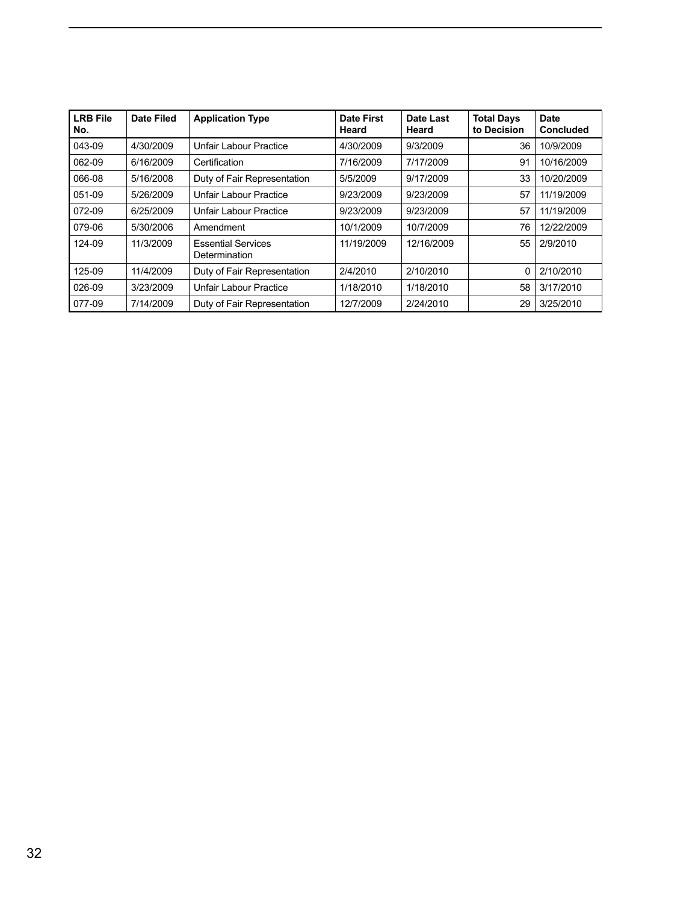| <b>LRB File</b><br>No. | <b>Date Filed</b> | <b>Application Type</b>                    | <b>Date First</b><br>Heard | <b>Date Last</b><br>Heard | <b>Total Days</b><br>to Decision | <b>Date</b><br><b>Concluded</b> |
|------------------------|-------------------|--------------------------------------------|----------------------------|---------------------------|----------------------------------|---------------------------------|
| $043-09$               | 4/30/2009         | <b>Unfair Labour Practice</b>              | 4/30/2009                  | 9/3/2009                  | 36                               | 0/9/2009                        |
| 062-09                 | 6/16/2009         | Certification                              | 7/16/2009                  | 7/17/2009                 | 91                               | 10/16/2009                      |
| 066-08                 | 5/16/2008         | Duty of Fair Representation                | 5/5/2009                   | 9/17/2009                 | 33                               | 10/20/2009                      |
| $051-09$               | 5/26/2009         | Unfair Labour Practice                     | 9/23/2009                  | 9/23/2009                 | 57                               | 11/19/2009                      |
| 072-09                 | 6/25/2009         | Unfair Labour Practice                     | 9/23/2009                  | 9/23/2009                 | 57                               | 11/19/2009                      |
| 079-06                 | 5/30/2006         | Amendment                                  | 10/1/2009                  | 10/7/2009                 | 76                               | 12/22/2009                      |
| 124-09                 | 11/3/2009         | <b>Essential Services</b><br>Determination | 11/19/2009                 | 12/16/2009                |                                  | 55 2/9/2010                     |
| 125-09                 | 11/4/2009         | Duty of Fair Representation                | 2/4/2010                   | 2/10/2010                 |                                  | 0   2/10/2010                   |
| 026-09                 | 3/23/2009         | Unfair Labour Practice                     | 1/18/2010                  | 1/18/2010                 |                                  | 58 3/17/2010                    |
| 077-09                 | 7/14/2009         | Duty of Fair Representation                | 12/7/2009                  | 2/24/2010                 |                                  | 29 3/25/2010                    |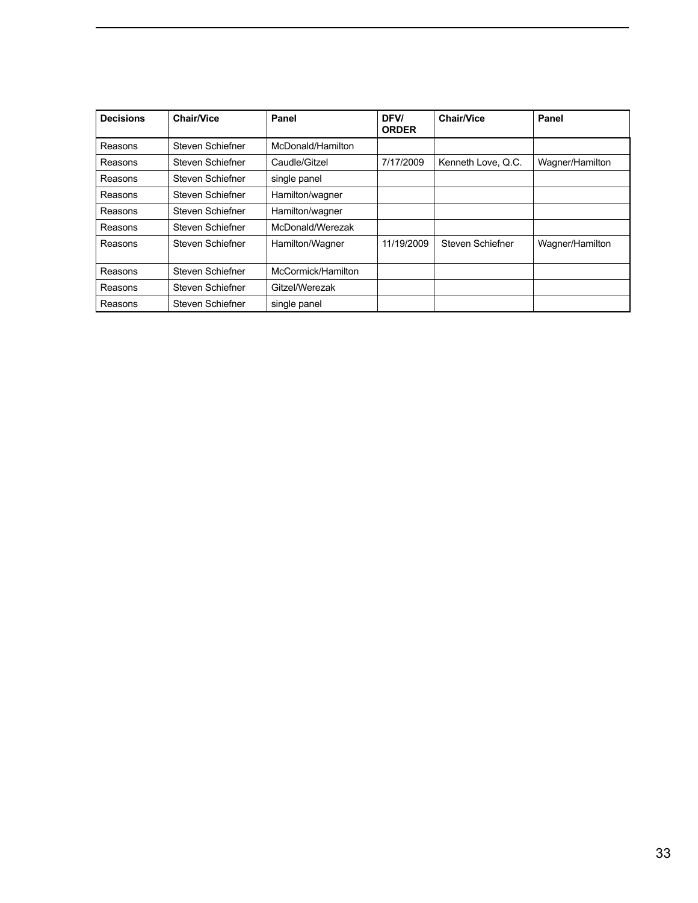| <b>Decisions</b> | <b>Chair/Vice</b> | Panel              | DFV/<br><b>ORDER</b> | <b>Chair/Vice</b>  | Panel           |
|------------------|-------------------|--------------------|----------------------|--------------------|-----------------|
| Reasons          | Steven Schiefner  | McDonald/Hamilton  |                      |                    |                 |
| Reasons          | Steven Schiefner  | Caudle/Gitzel      | 7/17/2009            | Kenneth Love, Q.C. | Wagner/Hamilton |
| Reasons          | Steven Schiefner  | single panel       |                      |                    |                 |
| Reasons          | Steven Schiefner  | Hamilton/wagner    |                      |                    |                 |
| Reasons          | Steven Schiefner  | Hamilton/wagner    |                      |                    |                 |
| Reasons          | Steven Schiefner  | McDonald/Werezak   |                      |                    |                 |
| Reasons          | Steven Schiefner  | Hamilton/Wagner    | 11/19/2009           | Steven Schiefner   | Wagner/Hamilton |
| Reasons          | Steven Schiefner  | McCormick/Hamilton |                      |                    |                 |
| Reasons          | Steven Schiefner  | Gitzel/Werezak     |                      |                    |                 |
| Reasons          | Steven Schiefner  | single panel       |                      |                    |                 |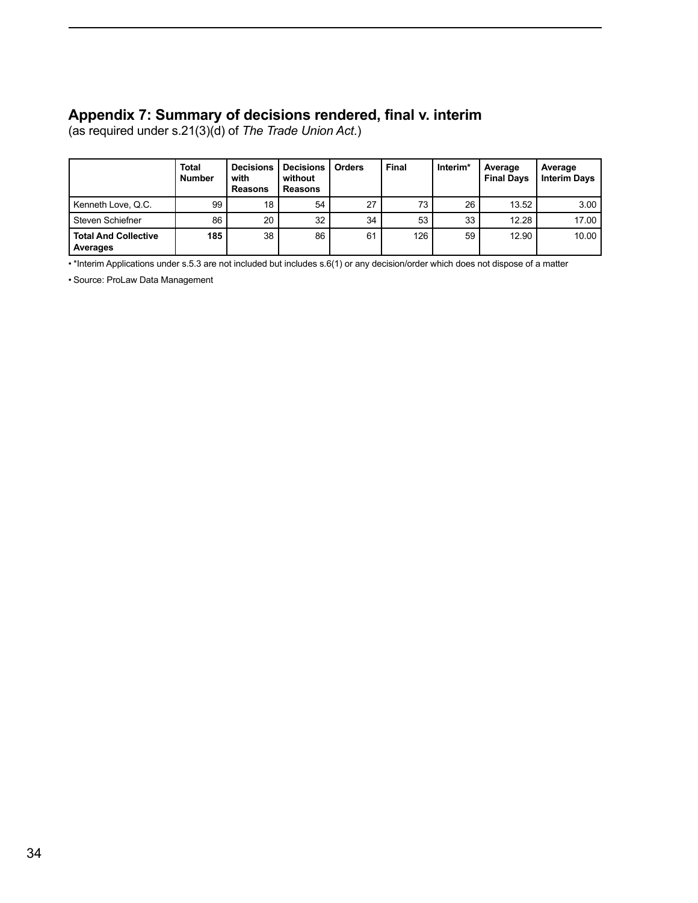## <span id="page-35-0"></span>**Appendix 7: Summary of decisions rendered, final v. interim**

(as required under s.21(3)(d) of *The Trade Union Act*.)

|                                         | <b>Total</b><br><b>Number</b> | <b>Decisions</b><br>with<br><b>Reasons</b> | <b>Decisions</b><br>without<br><b>Reasons</b> | <b>Orders</b> | Final | Interim* | Average<br><b>Final Days</b> | Average<br><b>Interim Days</b> |
|-----------------------------------------|-------------------------------|--------------------------------------------|-----------------------------------------------|---------------|-------|----------|------------------------------|--------------------------------|
| Kenneth Love, Q.C.                      | 99                            | 18                                         | 54                                            | 27            | 73    | 26       | 13.52                        | 3.00                           |
| Steven Schiefner                        | 86                            | 20                                         | 32                                            | 34            | 53    | 33       | 12.28                        | 17.00                          |
| <b>Total And Collective</b><br>Averages | 185                           | 38                                         | 86                                            | 61            | 126   | 59       | 12.90                        | 10.00                          |

• \*Interim Applications under s.5.3 are not included but includes s.6(1) or any decision/order which does not dispose of a matter

• Source: ProLaw Data Management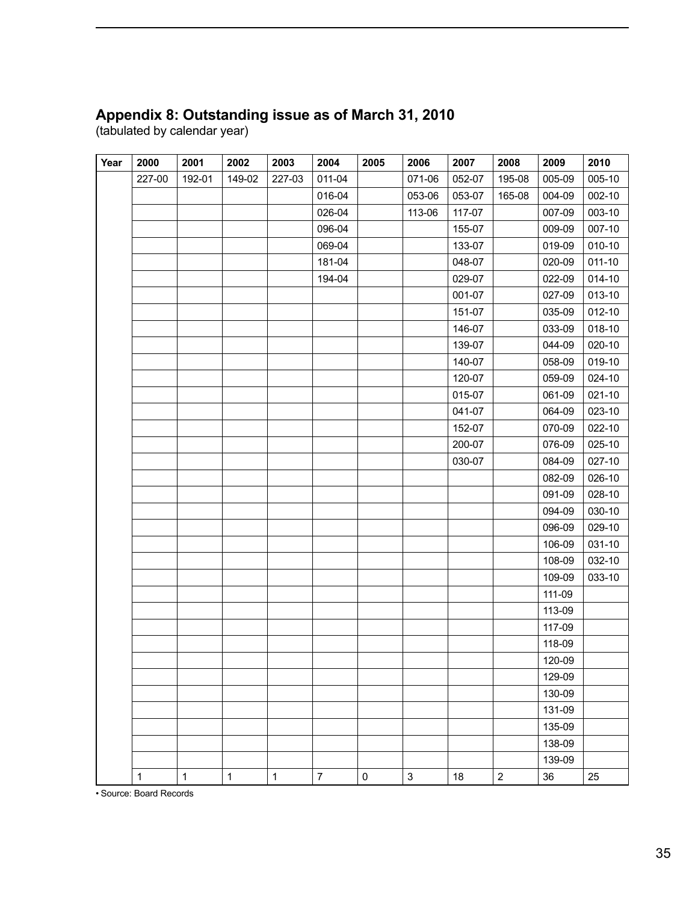## <span id="page-36-0"></span>**Appendix 8: Outstanding issue as of March 31, 2010**

(tabulated by calendar year)

| Year | 2000         | 2001         | 2002         | 2003         | 2004           | 2005      | 2006           | 2007   | 2008           | 2009   | 2010       |
|------|--------------|--------------|--------------|--------------|----------------|-----------|----------------|--------|----------------|--------|------------|
|      | 227-00       | 192-01       | 149-02       | 227-03       | 011-04         |           | 071-06         | 052-07 | 195-08         | 005-09 | 005-10     |
|      |              |              |              |              | 016-04         |           | 053-06         | 053-07 | 165-08         | 004-09 | 002-10     |
|      |              |              |              |              | 026-04         |           | 113-06         | 117-07 |                | 007-09 | 003-10     |
|      |              |              |              |              | 096-04         |           |                | 155-07 |                | 009-09 | 007-10     |
|      |              |              |              |              | 069-04         |           |                | 133-07 |                | 019-09 | 010-10     |
|      |              |              |              |              | 181-04         |           |                | 048-07 |                | 020-09 | $011 - 10$ |
|      |              |              |              |              | 194-04         |           |                | 029-07 |                | 022-09 | 014-10     |
|      |              |              |              |              |                |           |                | 001-07 |                | 027-09 | 013-10     |
|      |              |              |              |              |                |           |                | 151-07 |                | 035-09 | 012-10     |
|      |              |              |              |              |                |           |                | 146-07 |                | 033-09 | 018-10     |
|      |              |              |              |              |                |           |                | 139-07 |                | 044-09 | 020-10     |
|      |              |              |              |              |                |           |                | 140-07 |                | 058-09 | 019-10     |
|      |              |              |              |              |                |           |                | 120-07 |                | 059-09 | 024-10     |
|      |              |              |              |              |                |           |                | 015-07 |                | 061-09 | 021-10     |
|      |              |              |              |              |                |           |                | 041-07 |                | 064-09 | 023-10     |
|      |              |              |              |              |                |           |                | 152-07 |                | 070-09 | 022-10     |
|      |              |              |              |              |                |           |                | 200-07 |                | 076-09 | 025-10     |
|      |              |              |              |              |                |           |                | 030-07 |                | 084-09 | 027-10     |
|      |              |              |              |              |                |           |                |        |                | 082-09 | 026-10     |
|      |              |              |              |              |                |           |                |        |                | 091-09 | 028-10     |
|      |              |              |              |              |                |           |                |        |                | 094-09 | 030-10     |
|      |              |              |              |              |                |           |                |        |                | 096-09 | 029-10     |
|      |              |              |              |              |                |           |                |        |                | 106-09 | 031-10     |
|      |              |              |              |              |                |           |                |        |                | 108-09 | 032-10     |
|      |              |              |              |              |                |           |                |        |                | 109-09 | 033-10     |
|      |              |              |              |              |                |           |                |        |                | 111-09 |            |
|      |              |              |              |              |                |           |                |        |                | 113-09 |            |
|      |              |              |              |              |                |           |                |        |                | 117-09 |            |
|      |              |              |              |              |                |           |                |        |                | 118-09 |            |
|      |              |              |              |              |                |           |                |        |                | 120-09 |            |
|      |              |              |              |              |                |           |                |        |                | 129-09 |            |
|      |              |              |              |              |                |           |                |        |                | 130-09 |            |
|      |              |              |              |              |                |           |                |        |                | 131-09 |            |
|      |              |              |              |              |                |           |                |        |                | 135-09 |            |
|      |              |              |              |              |                |           |                |        |                | 138-09 |            |
|      |              |              |              |              |                |           |                |        |                | 139-09 |            |
|      | $\mathbf{1}$ | $\mathbf{1}$ | $\mathbf{1}$ | $\mathbf{1}$ | $\overline{7}$ | $\pmb{0}$ | $\mathfrak{S}$ | 18     | $\overline{2}$ | 36     | 25         |

• Source: Board Records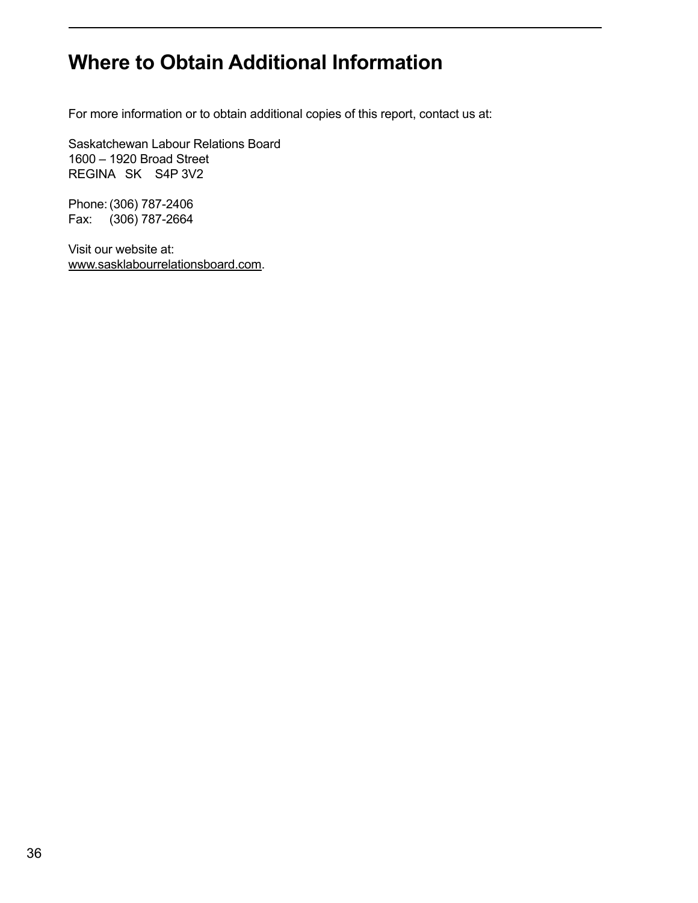# <span id="page-37-0"></span>**Where to Obtain Additional Information**

For more information or to obtain additional copies of this report, contact us at:

Saskatchewan Labour Relations Board 1600 – 1920 Broad Street REGINA SK S4P 3V2

Phone:(306) 787-2406 Fax: (306) 787-2664

Visit our website at: www.sasklabourrelationsboard.com.